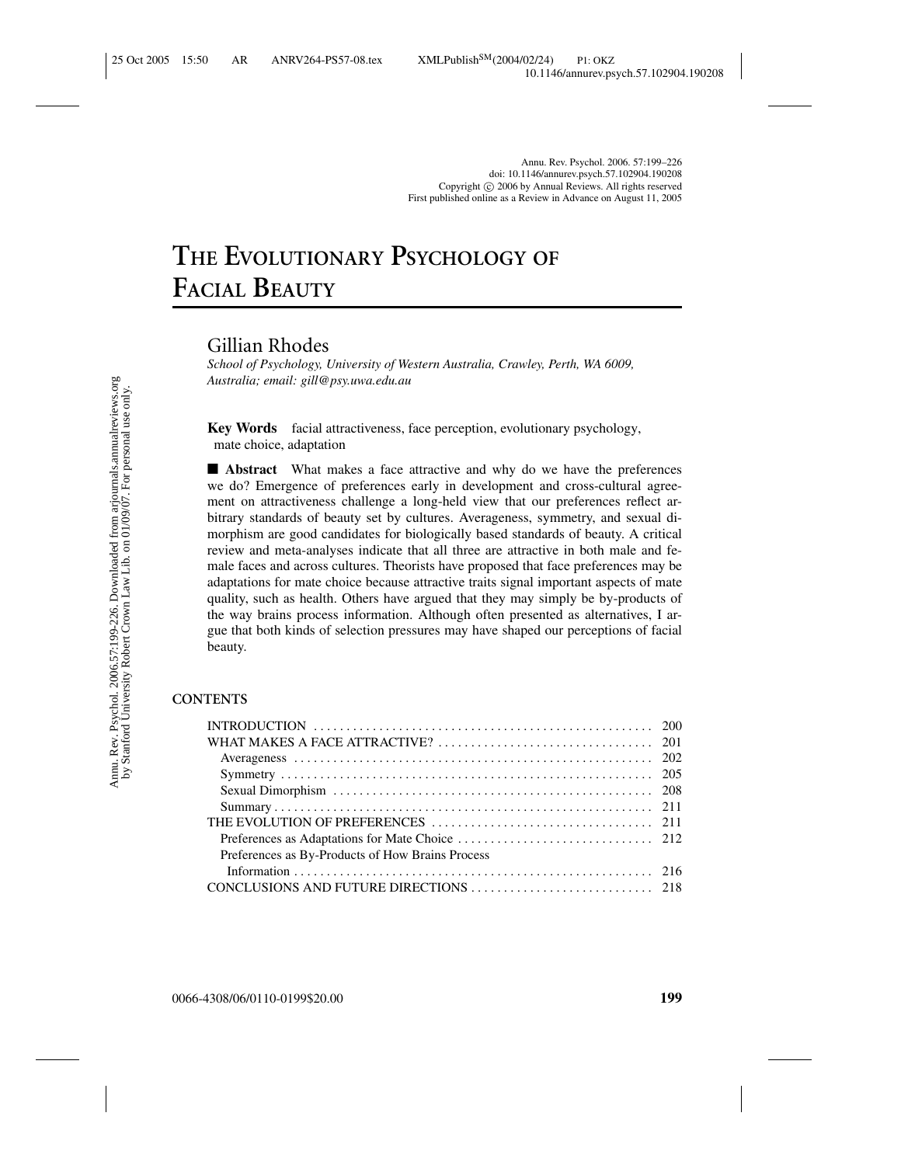# **THE EVOLUTIONARY PSYCHOLOGY OF FACIAL BEAUTY**

Gillian Rhodes

*School of Psychology, University of Western Australia, Crawley, Perth, WA 6009, Australia; email: gill@psy.uwa.edu.au*

**Key Words** facial attractiveness, face perception, evolutionary psychology, mate choice, adaptation

■ **Abstract** What makes a face attractive and why do we have the preferences we do? Emergence of preferences early in development and cross-cultural agreement on attractiveness challenge a long-held view that our preferences reflect arbitrary standards of beauty set by cultures. Averageness, symmetry, and sexual dimorphism are good candidates for biologically based standards of beauty. A critical review and meta-analyses indicate that all three are attractive in both male and female faces and across cultures. Theorists have proposed that face preferences may be adaptations for mate choice because attractive traits signal important aspects of mate quality, such as health. Others have argued that they may simply be by-products of the way brains process information. Although often presented as alternatives, I argue that both kinds of selection pressures may have shaped our perceptions of facial beauty.

## **CONTENTS**

| Preferences as By-Products of How Brains Process |  |
|--------------------------------------------------|--|
|                                                  |  |
|                                                  |  |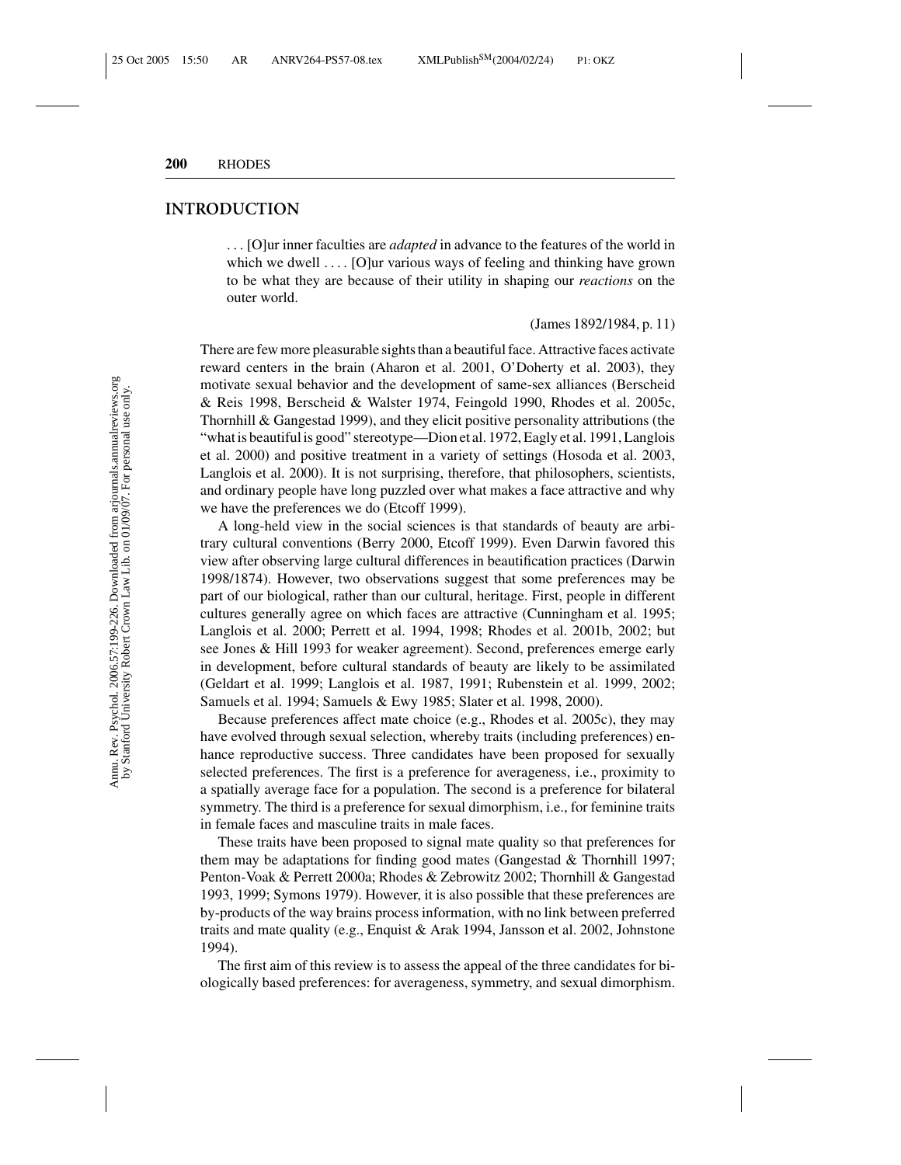# **INTRODUCTION**

... [O]ur inner faculties are *adapted* in advance to the features of the world in which we dwell .... [O]ur various ways of feeling and thinking have grown to be what they are because of their utility in shaping our *reactions* on the outer world.

(James 1892/1984, p. 11)

There are few more pleasurable sights than a beautiful face. Attractive faces activate reward centers in the brain (Aharon et al. 2001, O'Doherty et al. 2003), they motivate sexual behavior and the development of same-sex alliances (Berscheid & Reis 1998, Berscheid & Walster 1974, Feingold 1990, Rhodes et al. 2005c, Thornhill & Gangestad 1999), and they elicit positive personality attributions (the "what is beautiful is good" stereotype—Dion et al. 1972, Eagly et al. 1991, Langlois et al. 2000) and positive treatment in a variety of settings (Hosoda et al. 2003, Langlois et al. 2000). It is not surprising, therefore, that philosophers, scientists, and ordinary people have long puzzled over what makes a face attractive and why we have the preferences we do (Etcoff 1999).

A long-held view in the social sciences is that standards of beauty are arbitrary cultural conventions (Berry 2000, Etcoff 1999). Even Darwin favored this view after observing large cultural differences in beautification practices (Darwin 1998/1874). However, two observations suggest that some preferences may be part of our biological, rather than our cultural, heritage. First, people in different cultures generally agree on which faces are attractive (Cunningham et al. 1995; Langlois et al. 2000; Perrett et al. 1994, 1998; Rhodes et al. 2001b, 2002; but see Jones & Hill 1993 for weaker agreement). Second, preferences emerge early in development, before cultural standards of beauty are likely to be assimilated (Geldart et al. 1999; Langlois et al. 1987, 1991; Rubenstein et al. 1999, 2002; Samuels et al. 1994; Samuels & Ewy 1985; Slater et al. 1998, 2000).

Because preferences affect mate choice (e.g., Rhodes et al. 2005c), they may have evolved through sexual selection, whereby traits (including preferences) enhance reproductive success. Three candidates have been proposed for sexually selected preferences. The first is a preference for averageness, i.e., proximity to a spatially average face for a population. The second is a preference for bilateral symmetry. The third is a preference for sexual dimorphism, i.e., for feminine traits in female faces and masculine traits in male faces.

These traits have been proposed to signal mate quality so that preferences for them may be adaptations for finding good mates (Gangestad & Thornhill 1997; Penton-Voak & Perrett 2000a; Rhodes & Zebrowitz 2002; Thornhill & Gangestad 1993, 1999; Symons 1979). However, it is also possible that these preferences are by-products of the way brains process information, with no link between preferred traits and mate quality (e.g., Enquist & Arak 1994, Jansson et al. 2002, Johnstone 1994).

The first aim of this review is to assess the appeal of the three candidates for biologically based preferences: for averageness, symmetry, and sexual dimorphism.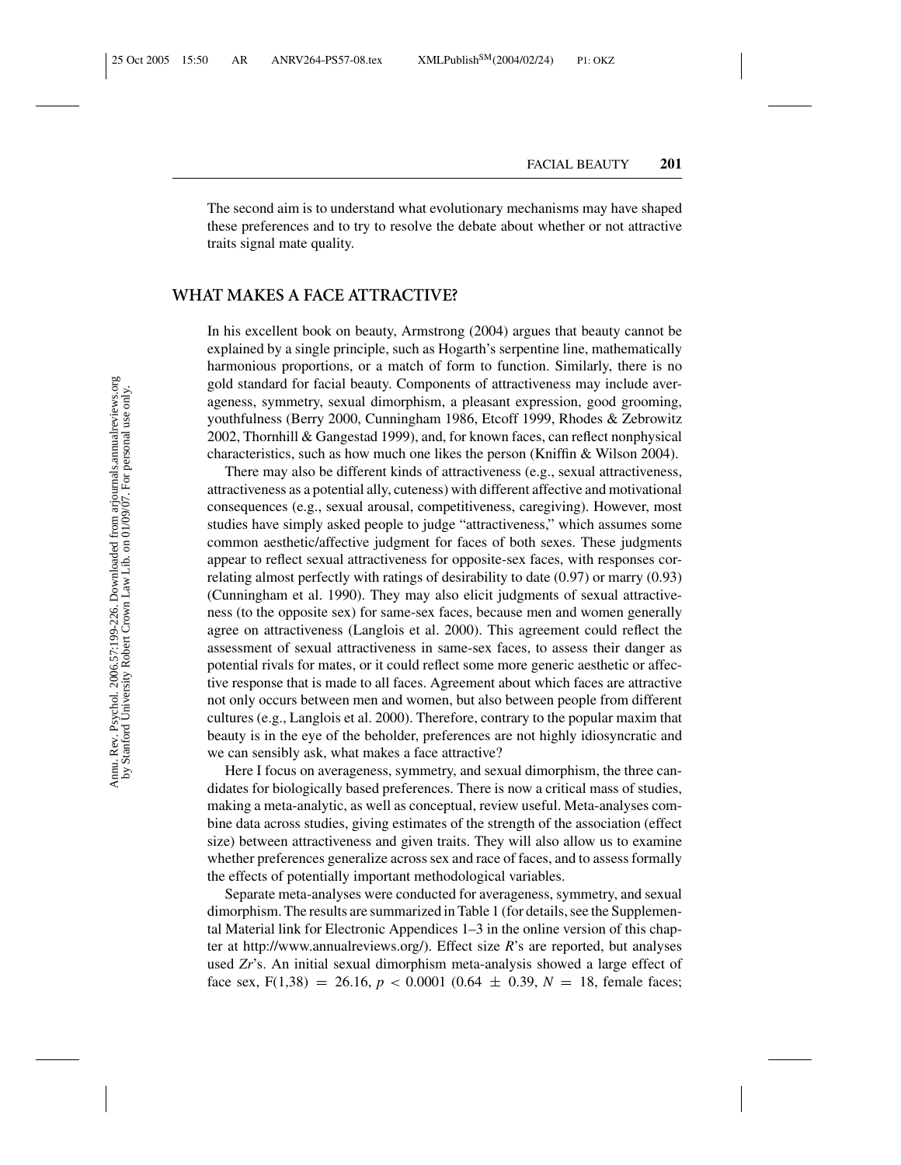The second aim is to understand what evolutionary mechanisms may have shaped these preferences and to try to resolve the debate about whether or not attractive traits signal mate quality.

## **WHAT MAKES A FACE ATTRACTIVE?**

In his excellent book on beauty, Armstrong (2004) argues that beauty cannot be explained by a single principle, such as Hogarth's serpentine line, mathematically harmonious proportions, or a match of form to function. Similarly, there is no gold standard for facial beauty. Components of attractiveness may include averageness, symmetry, sexual dimorphism, a pleasant expression, good grooming, youthfulness (Berry 2000, Cunningham 1986, Etcoff 1999, Rhodes & Zebrowitz 2002, Thornhill & Gangestad 1999), and, for known faces, can reflect nonphysical characteristics, such as how much one likes the person (Kniffin & Wilson 2004).

There may also be different kinds of attractiveness (e.g., sexual attractiveness, attractiveness as a potential ally, cuteness) with different affective and motivational consequences (e.g., sexual arousal, competitiveness, caregiving). However, most studies have simply asked people to judge "attractiveness," which assumes some common aesthetic/affective judgment for faces of both sexes. These judgments appear to reflect sexual attractiveness for opposite-sex faces, with responses correlating almost perfectly with ratings of desirability to date (0.97) or marry (0.93) (Cunningham et al. 1990). They may also elicit judgments of sexual attractiveness (to the opposite sex) for same-sex faces, because men and women generally agree on attractiveness (Langlois et al. 2000). This agreement could reflect the assessment of sexual attractiveness in same-sex faces, to assess their danger as potential rivals for mates, or it could reflect some more generic aesthetic or affective response that is made to all faces. Agreement about which faces are attractive not only occurs between men and women, but also between people from different cultures (e.g., Langlois et al. 2000). Therefore, contrary to the popular maxim that beauty is in the eye of the beholder, preferences are not highly idiosyncratic and we can sensibly ask, what makes a face attractive?

Here I focus on averageness, symmetry, and sexual dimorphism, the three candidates for biologically based preferences. There is now a critical mass of studies, making a meta-analytic, as well as conceptual, review useful. Meta-analyses combine data across studies, giving estimates of the strength of the association (effect size) between attractiveness and given traits. They will also allow us to examine whether preferences generalize across sex and race of faces, and to assess formally the effects of potentially important methodological variables.

Separate meta-analyses were conducted for averageness, symmetry, and sexual dimorphism. The results are summarized in Table 1 (for details, see the Supplemental Material link for Electronic Appendices 1–3 in the online version of this chapter at http://www.annualreviews.org/). Effect size *R*'s are reported, but analyses used *Zr*'s. An initial sexual dimorphism meta-analysis showed a large effect of face sex,  $F(1,38) = 26.16$ ,  $p < 0.0001$  (0.64  $\pm$  0.39,  $N = 18$ , female faces;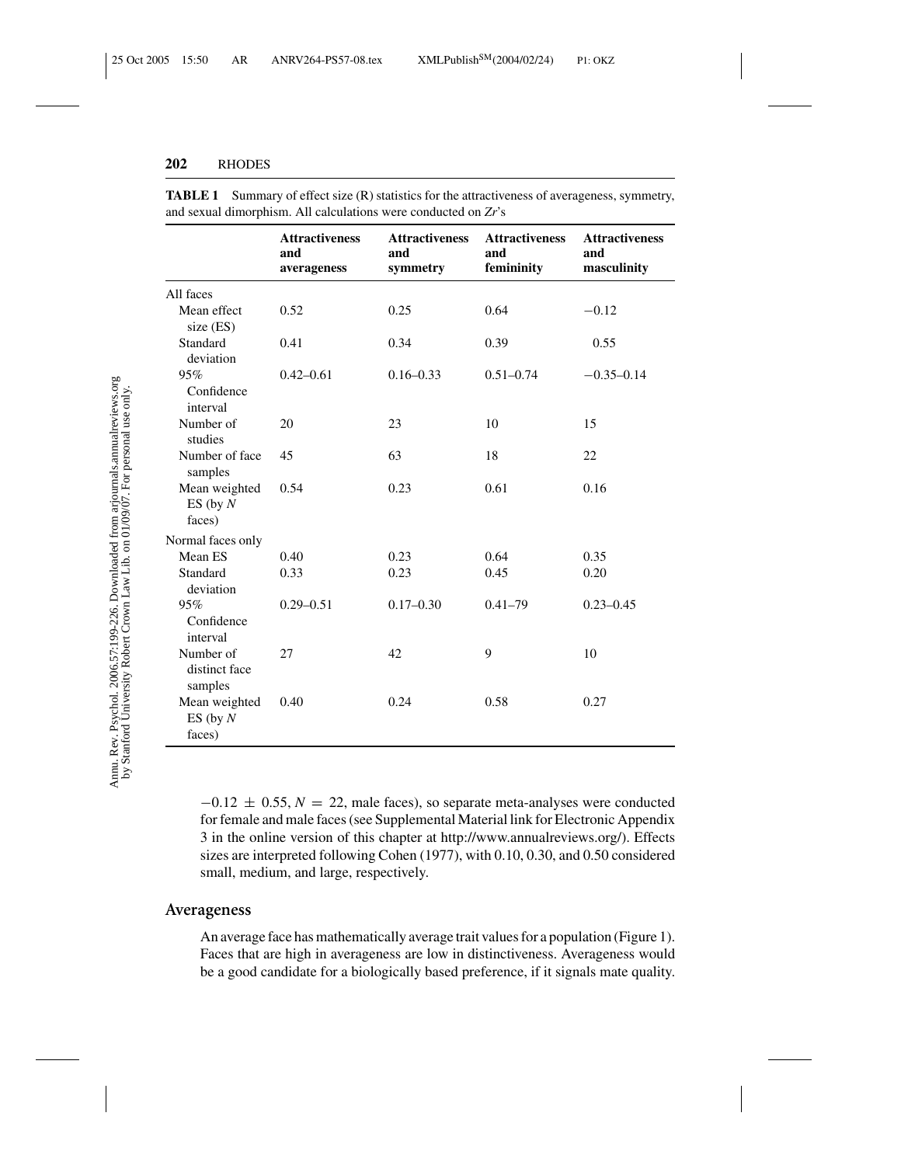|                                       | <b>Attractiveness</b><br>and<br>averageness | <b>Attractiveness</b><br>and<br>symmetry | <b>Attractiveness</b><br>and<br>femininity | <b>Attractiveness</b><br>and<br>masculinity |
|---------------------------------------|---------------------------------------------|------------------------------------------|--------------------------------------------|---------------------------------------------|
| All faces                             |                                             |                                          |                                            |                                             |
| Mean effect<br>size (ES)              | 0.52                                        | 0.25                                     | 0.64                                       | $-0.12$                                     |
| Standard<br>deviation                 | 0.41                                        | 0.34                                     | 0.39                                       | 0.55                                        |
| 95%<br>Confidence<br>interval         | $0.42 - 0.61$                               | $0.16 - 0.33$                            | $0.51 - 0.74$                              | $-0.35 - 0.14$                              |
| Number of<br>studies                  | 20                                          | 23                                       | 10                                         | 15                                          |
| Number of face<br>samples             | 45                                          | 63                                       | 18                                         | 22                                          |
| Mean weighted<br>ES (by $N$<br>faces) | 0.54                                        | 0.23                                     | 0.61                                       | 0.16                                        |
| Normal faces only                     |                                             |                                          |                                            |                                             |
| Mean ES                               | 0.40                                        | 0.23                                     | 0.64                                       | 0.35                                        |
| Standard<br>deviation                 | 0.33                                        | 0.23                                     | 0.45                                       | 0.20                                        |
| 95%<br>Confidence<br>interval         | $0.29 - 0.51$                               | $0.17 - 0.30$                            | $0.41 - 79$                                | $0.23 - 0.45$                               |
| Number of<br>distinct face<br>samples | 27                                          | 42                                       | 9                                          | 10                                          |
| Mean weighted<br>ES (by $N$<br>faces) | 0.40                                        | 0.24                                     | 0.58                                       | 0.27                                        |

**TABLE 1** Summary of effect size (R) statistics for the attractiveness of averageness, symmetry, and sexual dimorphism. All calculations were conducted on *Zr*'s

 $-0.12 \pm 0.55$ ,  $N = 22$ , male faces), so separate meta-analyses were conducted for female and male faces (see Supplemental Material link for Electronic Appendix 3 in the online version of this chapter at http://www.annualreviews.org/). Effects sizes are interpreted following Cohen (1977), with 0.10, 0.30, and 0.50 considered small, medium, and large, respectively.

### **Averageness**

An average face has mathematically average trait values for a population (Figure 1). Faces that are high in averageness are low in distinctiveness. Averageness would be a good candidate for a biologically based preference, if it signals mate quality.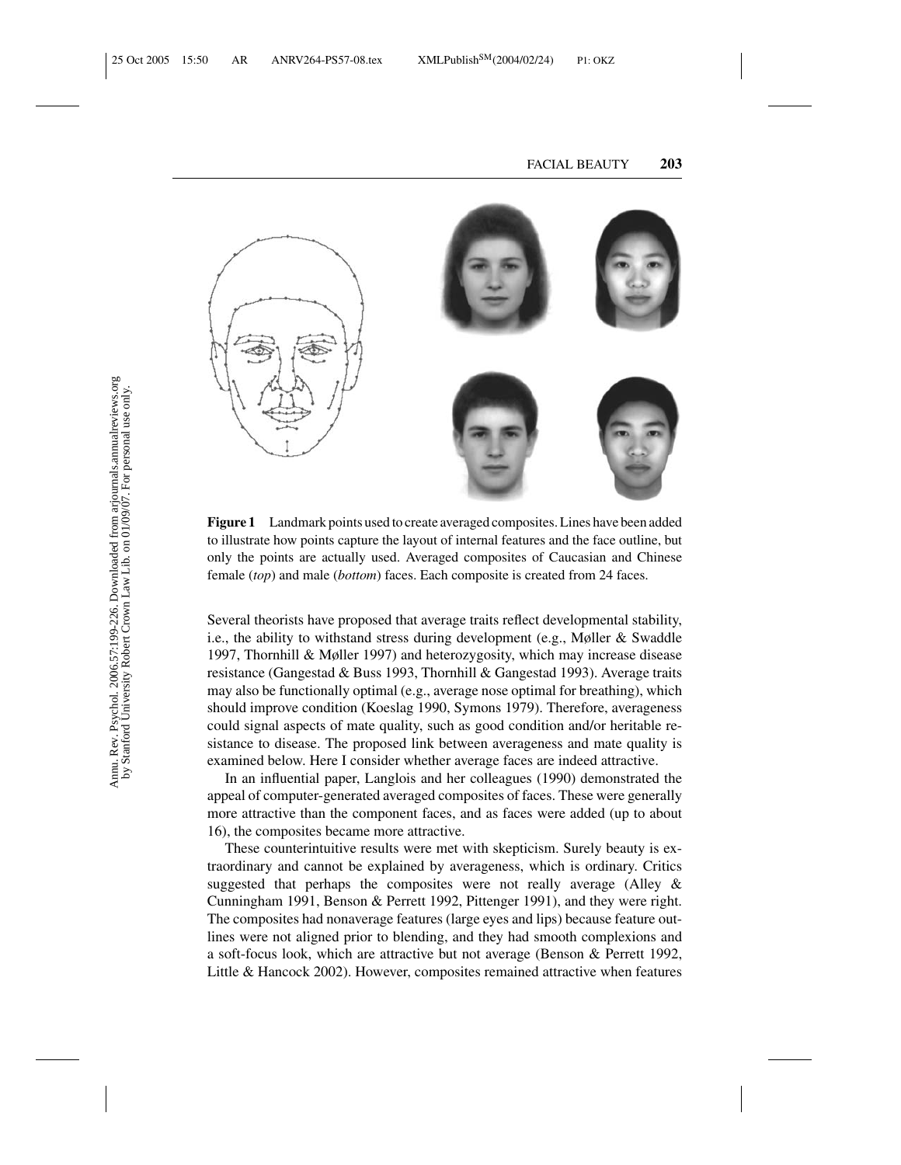

**Figure 1** Landmark points used to create averaged composites. Lines have been added to illustrate how points capture the layout of internal features and the face outline, but only the points are actually used. Averaged composites of Caucasian and Chinese female (*top*) and male (*bottom*) faces. Each composite is created from 24 faces.

Several theorists have proposed that average traits reflect developmental stability, i.e., the ability to withstand stress during development (e.g., Møller & Swaddle 1997, Thornhill & Møller 1997) and heterozygosity, which may increase disease resistance (Gangestad & Buss 1993, Thornhill & Gangestad 1993). Average traits may also be functionally optimal (e.g., average nose optimal for breathing), which should improve condition (Koeslag 1990, Symons 1979). Therefore, averageness could signal aspects of mate quality, such as good condition and/or heritable resistance to disease. The proposed link between averageness and mate quality is examined below. Here I consider whether average faces are indeed attractive.

In an influential paper, Langlois and her colleagues (1990) demonstrated the appeal of computer-generated averaged composites of faces. These were generally more attractive than the component faces, and as faces were added (up to about 16), the composites became more attractive.

These counterintuitive results were met with skepticism. Surely beauty is extraordinary and cannot be explained by averageness, which is ordinary. Critics suggested that perhaps the composites were not really average (Alley & Cunningham 1991, Benson & Perrett 1992, Pittenger 1991), and they were right. The composites had nonaverage features (large eyes and lips) because feature outlines were not aligned prior to blending, and they had smooth complexions and a soft-focus look, which are attractive but not average (Benson & Perrett 1992, Little & Hancock 2002). However, composites remained attractive when features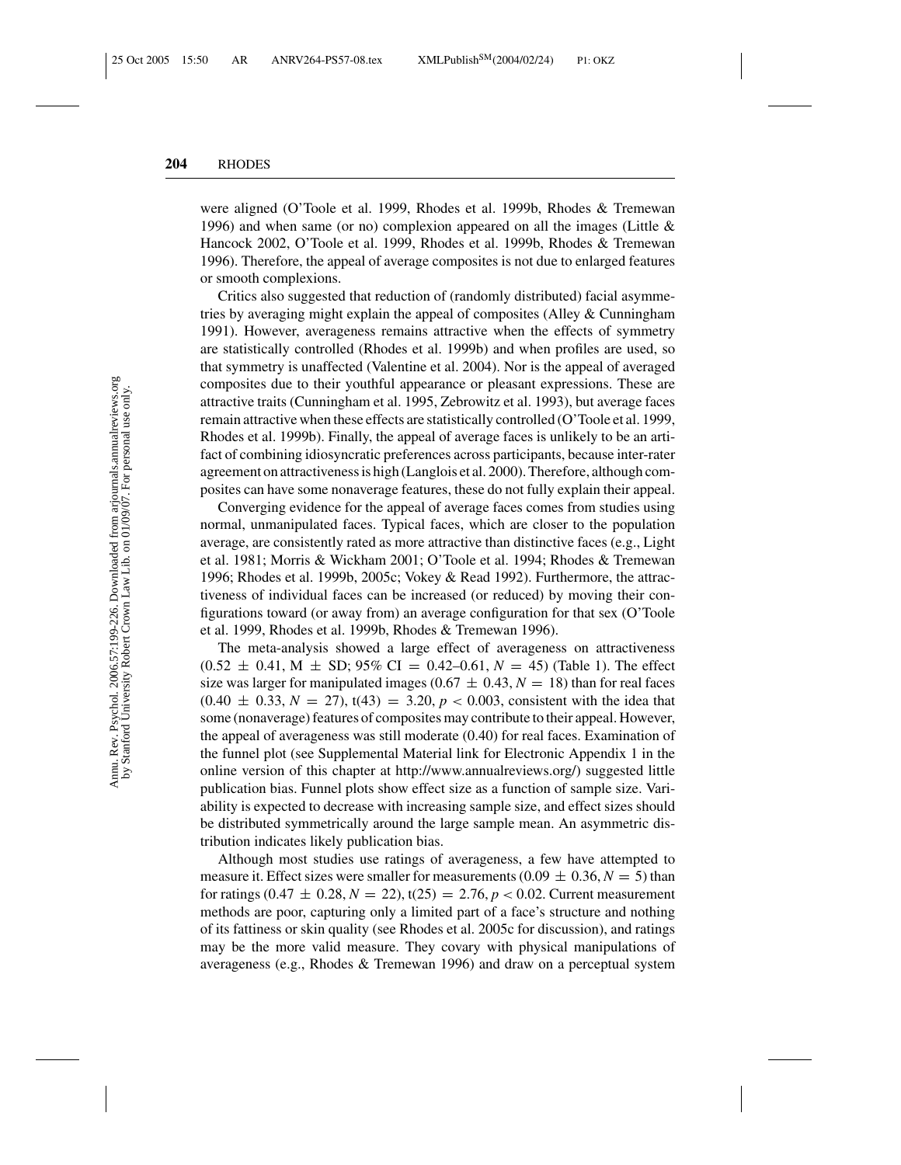were aligned (O'Toole et al. 1999, Rhodes et al. 1999b, Rhodes & Tremewan 1996) and when same (or no) complexion appeared on all the images (Little & Hancock 2002, O'Toole et al. 1999, Rhodes et al. 1999b, Rhodes & Tremewan 1996). Therefore, the appeal of average composites is not due to enlarged features or smooth complexions.

Critics also suggested that reduction of (randomly distributed) facial asymmetries by averaging might explain the appeal of composites (Alley & Cunningham 1991). However, averageness remains attractive when the effects of symmetry are statistically controlled (Rhodes et al. 1999b) and when profiles are used, so that symmetry is unaffected (Valentine et al. 2004). Nor is the appeal of averaged composites due to their youthful appearance or pleasant expressions. These are attractive traits (Cunningham et al. 1995, Zebrowitz et al. 1993), but average faces remain attractive when these effects are statistically controlled (O'Toole et al. 1999, Rhodes et al. 1999b). Finally, the appeal of average faces is unlikely to be an artifact of combining idiosyncratic preferences across participants, because inter-rater agreement on attractiveness is high (Langlois et al. 2000). Therefore, although composites can have some nonaverage features, these do not fully explain their appeal.

Converging evidence for the appeal of average faces comes from studies using normal, unmanipulated faces. Typical faces, which are closer to the population average, are consistently rated as more attractive than distinctive faces (e.g., Light et al. 1981; Morris & Wickham 2001; O'Toole et al. 1994; Rhodes & Tremewan 1996; Rhodes et al. 1999b, 2005c; Vokey & Read 1992). Furthermore, the attractiveness of individual faces can be increased (or reduced) by moving their configurations toward (or away from) an average configuration for that sex (O'Toole et al. 1999, Rhodes et al. 1999b, Rhodes & Tremewan 1996).

The meta-analysis showed a large effect of averageness on attractiveness  $(0.52 \pm 0.41, M \pm SD; 95\% CI = 0.42{\text -}0.61, N = 45)$  (Table 1). The effect size was larger for manipulated images ( $0.67 \pm 0.43$ ,  $N = 18$ ) than for real faces  $(0.40 \pm 0.33, N = 27)$ ,  $t(43) = 3.20, p < 0.003$ , consistent with the idea that some (nonaverage) features of composites may contribute to their appeal. However, the appeal of averageness was still moderate (0.40) for real faces. Examination of the funnel plot (see Supplemental Material link for Electronic Appendix 1 in the online version of this chapter at http://www.annualreviews.org/) suggested little publication bias. Funnel plots show effect size as a function of sample size. Variability is expected to decrease with increasing sample size, and effect sizes should be distributed symmetrically around the large sample mean. An asymmetric distribution indicates likely publication bias.

Although most studies use ratings of averageness, a few have attempted to measure it. Effect sizes were smaller for measurements  $(0.09 \pm 0.36, N = 5)$  than for ratings  $(0.47 \pm 0.28, N = 22)$ ,  $t(25) = 2.76, p < 0.02$ . Current measurement methods are poor, capturing only a limited part of a face's structure and nothing of its fattiness or skin quality (see Rhodes et al. 2005c for discussion), and ratings may be the more valid measure. They covary with physical manipulations of averageness (e.g., Rhodes & Tremewan 1996) and draw on a perceptual system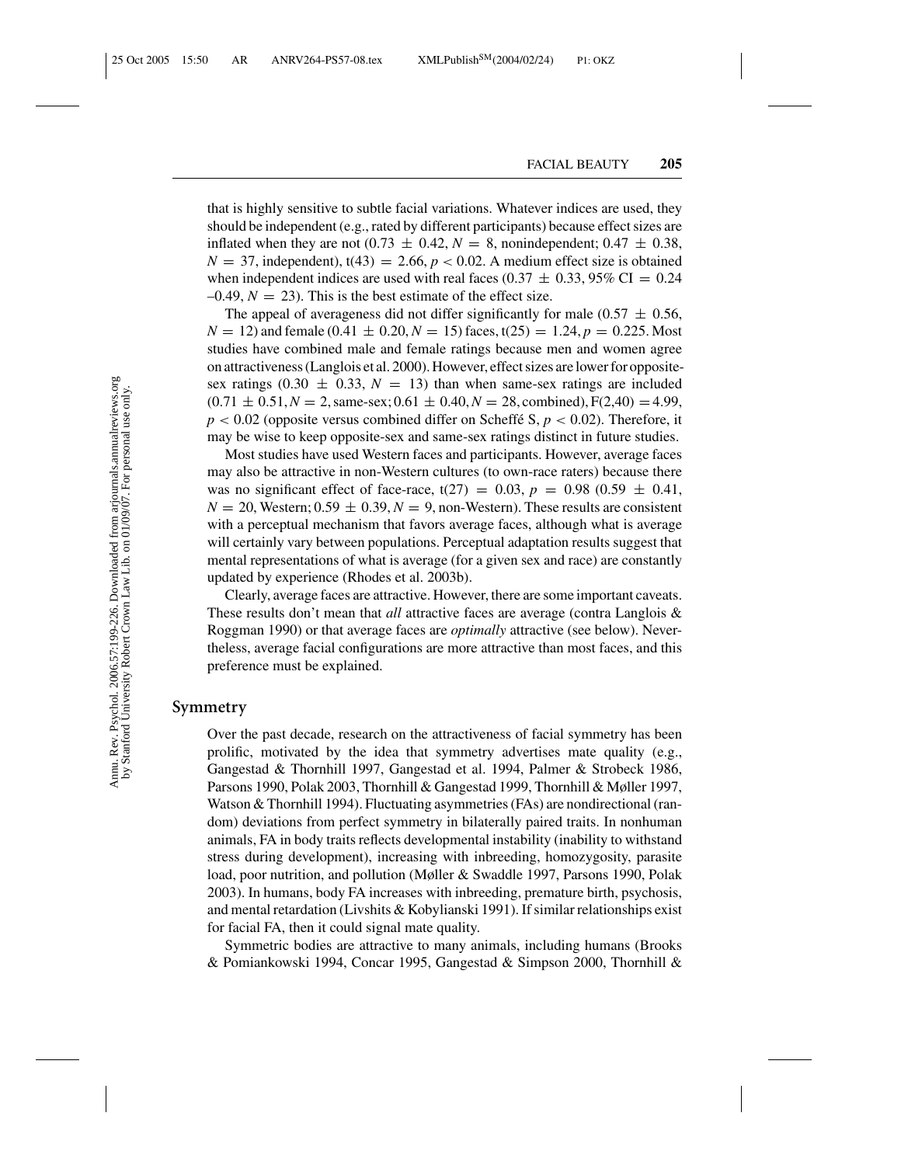that is highly sensitive to subtle facial variations. Whatever indices are used, they should be independent (e.g., rated by different participants) because effect sizes are inflated when they are not  $(0.73 \pm 0.42, N = 8)$ , nonindependent;  $0.47 \pm 0.38$ ,  $N = 37$ , independent),  $t(43) = 2.66$ ,  $p < 0.02$ . A medium effect size is obtained when independent indices are used with real faces (0.37  $\pm$  0.33, 95% CI = 0.24  $-0.49$ ,  $N = 23$ ). This is the best estimate of the effect size.

The appeal of averageness did not differ significantly for male  $(0.57 \pm 0.56,$  $N = 12$ ) and female  $(0.41 \pm 0.20, N = 15)$  faces,  $t(25) = 1.24, p = 0.225$ . Most studies have combined male and female ratings because men and women agree on attractiveness (Langlois et al. 2000). However, effect sizes are lower for oppositesex ratings (0.30  $\pm$  0.33,  $N = 13$ ) than when same-sex ratings are included  $(0.71 \pm 0.51, N = 2$ , same-sex;  $0.61 \pm 0.40, N = 28$ , combined),  $F(2,40) = 4.99$ ,  $p < 0.02$  (opposite versus combined differ on Scheffe S,  $p < 0.02$ ). Therefore, it may be wise to keep opposite-sex and same-sex ratings distinct in future studies.

Most studies have used Western faces and participants. However, average faces may also be attractive in non-Western cultures (to own-race raters) because there was no significant effect of face-race,  $t(27) = 0.03$ ,  $p = 0.98$  (0.59  $\pm$  0.41,  $N = 20$ , Western;  $0.59 \pm 0.39$ ,  $N = 9$ , non-Western). These results are consistent with a perceptual mechanism that favors average faces, although what is average will certainly vary between populations. Perceptual adaptation results suggest that mental representations of what is average (for a given sex and race) are constantly updated by experience (Rhodes et al. 2003b).

Clearly, average faces are attractive. However, there are some important caveats. These results don't mean that *all* attractive faces are average (contra Langlois & Roggman 1990) or that average faces are *optimally* attractive (see below). Nevertheless, average facial configurations are more attractive than most faces, and this preference must be explained.

# **Symmetry**

Over the past decade, research on the attractiveness of facial symmetry has been prolific, motivated by the idea that symmetry advertises mate quality (e.g., Gangestad & Thornhill 1997, Gangestad et al. 1994, Palmer & Strobeck 1986, Parsons 1990, Polak 2003, Thornhill & Gangestad 1999, Thornhill & Møller 1997, Watson & Thornhill 1994). Fluctuating asymmetries (FAs) are nondirectional (random) deviations from perfect symmetry in bilaterally paired traits. In nonhuman animals, FA in body traits reflects developmental instability (inability to withstand stress during development), increasing with inbreeding, homozygosity, parasite load, poor nutrition, and pollution (Møller & Swaddle 1997, Parsons 1990, Polak 2003). In humans, body FA increases with inbreeding, premature birth, psychosis, and mental retardation (Livshits & Kobylianski 1991). If similar relationships exist for facial FA, then it could signal mate quality.

Symmetric bodies are attractive to many animals, including humans (Brooks & Pomiankowski 1994, Concar 1995, Gangestad & Simpson 2000, Thornhill &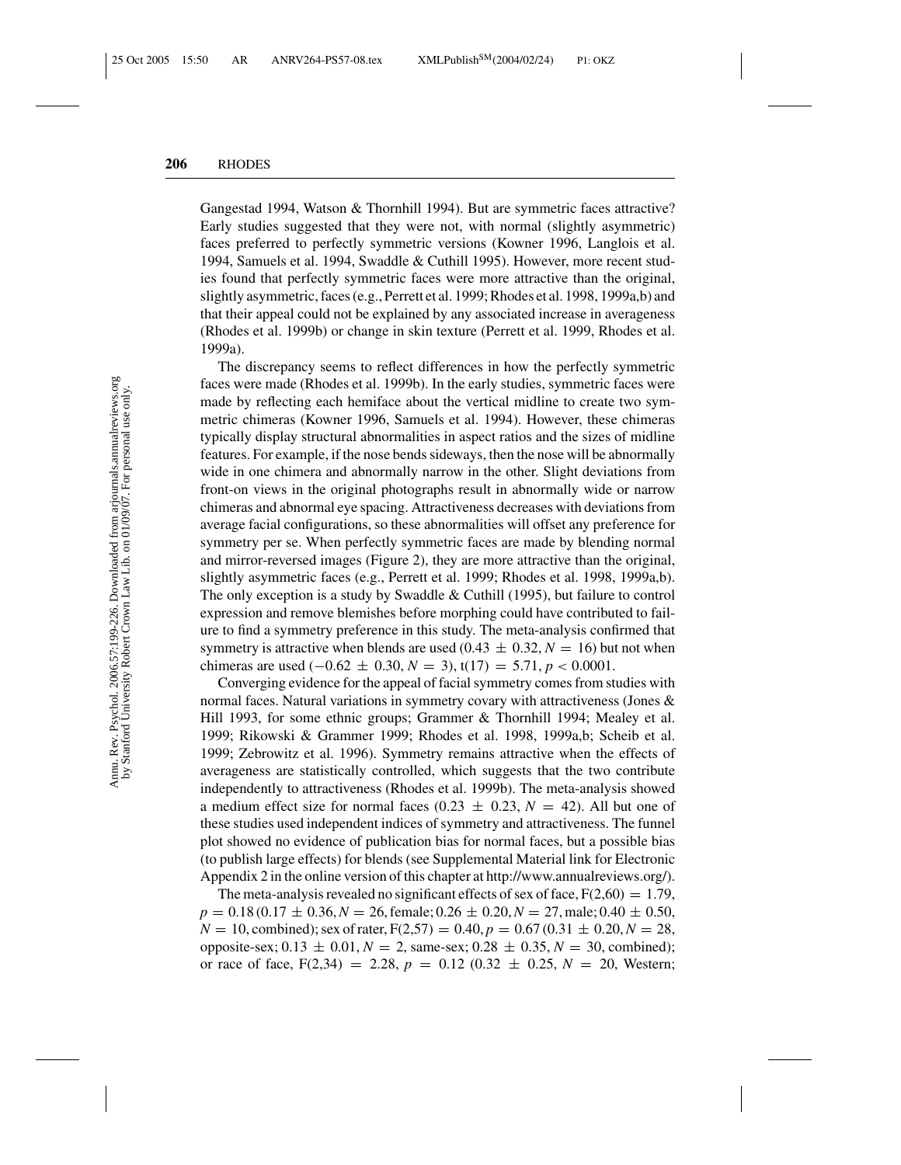Gangestad 1994, Watson & Thornhill 1994). But are symmetric faces attractive? Early studies suggested that they were not, with normal (slightly asymmetric) faces preferred to perfectly symmetric versions (Kowner 1996, Langlois et al. 1994, Samuels et al. 1994, Swaddle & Cuthill 1995). However, more recent studies found that perfectly symmetric faces were more attractive than the original, slightly asymmetric, faces (e.g., Perrett et al. 1999; Rhodes et al. 1998, 1999a,b) and that their appeal could not be explained by any associated increase in averageness (Rhodes et al. 1999b) or change in skin texture (Perrett et al. 1999, Rhodes et al. 1999a).

The discrepancy seems to reflect differences in how the perfectly symmetric faces were made (Rhodes et al. 1999b). In the early studies, symmetric faces were made by reflecting each hemiface about the vertical midline to create two symmetric chimeras (Kowner 1996, Samuels et al. 1994). However, these chimeras typically display structural abnormalities in aspect ratios and the sizes of midline features. For example, if the nose bends sideways, then the nose will be abnormally wide in one chimera and abnormally narrow in the other. Slight deviations from front-on views in the original photographs result in abnormally wide or narrow chimeras and abnormal eye spacing. Attractiveness decreases with deviations from average facial configurations, so these abnormalities will offset any preference for symmetry per se. When perfectly symmetric faces are made by blending normal and mirror-reversed images (Figure 2), they are more attractive than the original, slightly asymmetric faces (e.g., Perrett et al. 1999; Rhodes et al. 1998, 1999a,b). The only exception is a study by Swaddle & Cuthill (1995), but failure to control expression and remove blemishes before morphing could have contributed to failure to find a symmetry preference in this study. The meta-analysis confirmed that symmetry is attractive when blends are used  $(0.43 \pm 0.32, N = 16)$  but not when chimeras are used  $(-0.62 \pm 0.30, N = 3)$ , t(17) = 5.71,  $p < 0.0001$ .

Converging evidence for the appeal of facial symmetry comes from studies with normal faces. Natural variations in symmetry covary with attractiveness (Jones & Hill 1993, for some ethnic groups; Grammer & Thornhill 1994; Mealey et al. 1999; Rikowski & Grammer 1999; Rhodes et al. 1998, 1999a,b; Scheib et al. 1999; Zebrowitz et al. 1996). Symmetry remains attractive when the effects of averageness are statistically controlled, which suggests that the two contribute independently to attractiveness (Rhodes et al. 1999b). The meta-analysis showed a medium effect size for normal faces  $(0.23 \pm 0.23, N = 42)$ . All but one of these studies used independent indices of symmetry and attractiveness. The funnel plot showed no evidence of publication bias for normal faces, but a possible bias (to publish large effects) for blends (see Supplemental Material link for Electronic Appendix 2 in the online version of this chapter at http://www.annualreviews.org/).

The meta-analysis revealed no significant effects of sex of face,  $F(2,60) = 1.79$ , *p* = 0.18 (0.17 ± 0.36,*N* = 26, female; 0.26 ± 0.20,*N* = 27, male; 0.40 ± 0.50,  $N = 10$ , combined); sex of rater,  $F(2,57) = 0.40, p = 0.67$  (0.31  $\pm$  0.20,  $N = 28$ , opposite-sex;  $0.13 \pm 0.01$ ,  $N = 2$ , same-sex;  $0.28 \pm 0.35$ ,  $N = 30$ , combined); or race of face,  $F(2,34) = 2.28$ ,  $p = 0.12$  (0.32  $\pm$  0.25,  $N = 20$ , Western;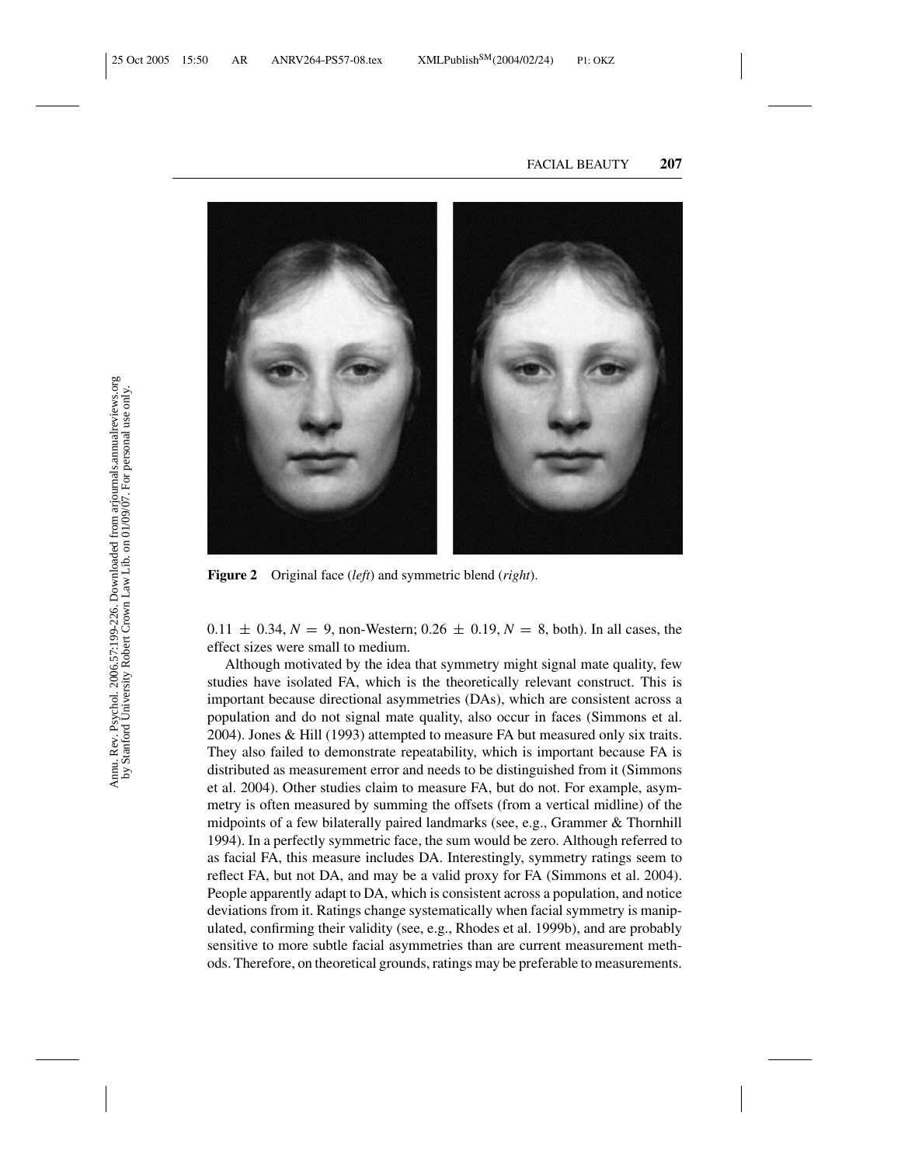

**Figure 2** Original face (*left*) and symmetric blend (*right*).

 $0.11 \pm 0.34$ ,  $N = 9$ , non-Western;  $0.26 \pm 0.19$ ,  $N = 8$ , both). In all cases, the effect sizes were small to medium.

Although motivated by the idea that symmetry might signal mate quality, few studies have isolated FA, which is the theoretically relevant construct. This is important because directional asymmetries (DAs), which are consistent across a population and do not signal mate quality, also occur in faces (Simmons et al. 2004). Jones & Hill (1993) attempted to measure FA but measured only six traits. They also failed to demonstrate repeatability, which is important because FA is distributed as measurement error and needs to be distinguished from it (Simmons et al. 2004). Other studies claim to measure FA, but do not. For example, asymmetry is often measured by summing the offsets (from a vertical midline) of the midpoints of a few bilaterally paired landmarks (see, e.g., Grammer & Thornhill 1994). In a perfectly symmetric face, the sum would be zero. Although referred to as facial FA, this measure includes DA. Interestingly, symmetry ratings seem to reflect FA, but not DA, and may be a valid proxy for FA (Simmons et al. 2004). People apparently adapt to DA, which is consistent across a population, and notice deviations from it. Ratings change systematically when facial symmetry is manipulated, confirming their validity (see, e.g., Rhodes et al. 1999b), and are probably sensitive to more subtle facial asymmetries than are current measurement methods. Therefore, on theoretical grounds, ratings may be preferable to measurements.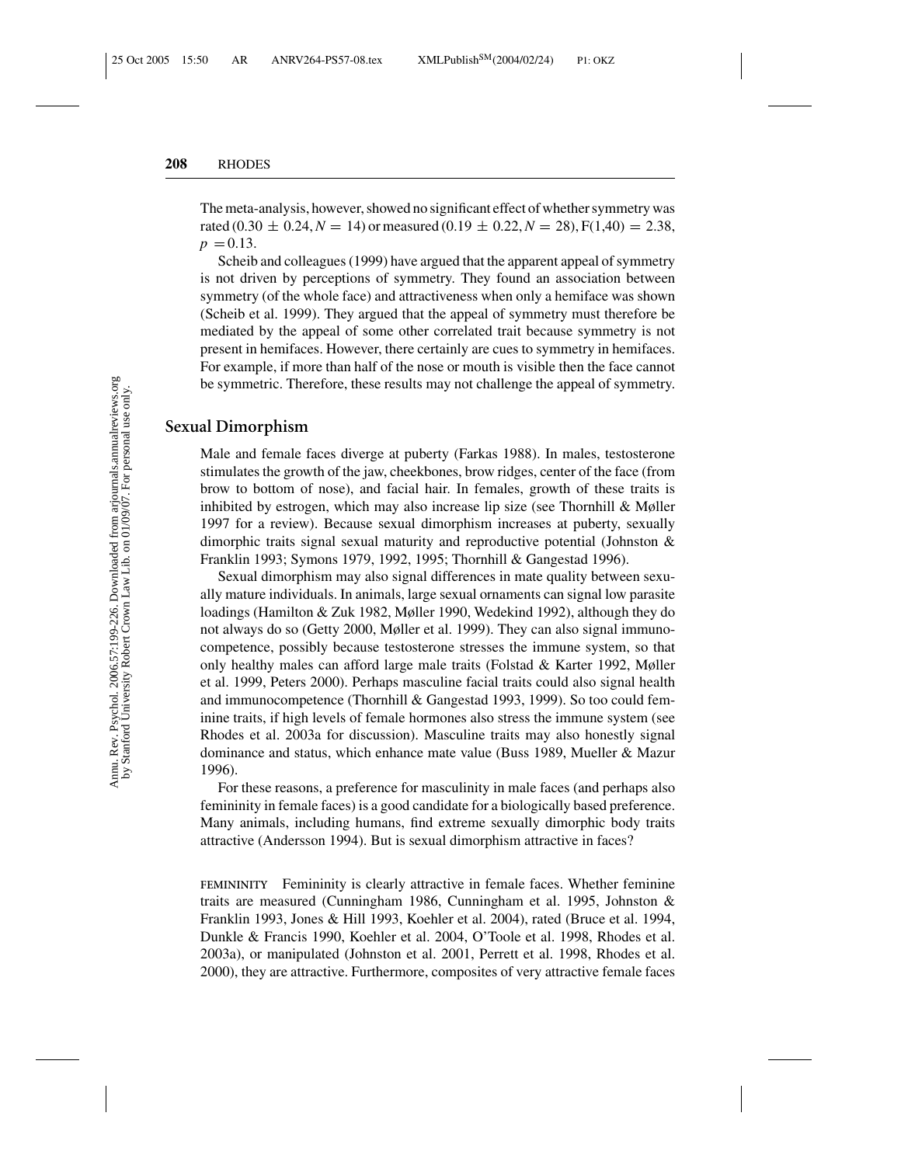The meta-analysis, however, showed no significant effect of whether symmetry was rated (0.30  $\pm$  0.24,  $N = 14$ ) or measured (0.19  $\pm$  0.22,  $N = 28$ ), F(1,40) = 2.38,  $p = 0.13$ .

Scheib and colleagues (1999) have argued that the apparent appeal of symmetry is not driven by perceptions of symmetry. They found an association between symmetry (of the whole face) and attractiveness when only a hemiface was shown (Scheib et al. 1999). They argued that the appeal of symmetry must therefore be mediated by the appeal of some other correlated trait because symmetry is not present in hemifaces. However, there certainly are cues to symmetry in hemifaces. For example, if more than half of the nose or mouth is visible then the face cannot be symmetric. Therefore, these results may not challenge the appeal of symmetry.

## **Sexual Dimorphism**

Male and female faces diverge at puberty (Farkas 1988). In males, testosterone stimulates the growth of the jaw, cheekbones, brow ridges, center of the face (from brow to bottom of nose), and facial hair. In females, growth of these traits is inhibited by estrogen, which may also increase lip size (see Thornhill & Møller 1997 for a review). Because sexual dimorphism increases at puberty, sexually dimorphic traits signal sexual maturity and reproductive potential (Johnston & Franklin 1993; Symons 1979, 1992, 1995; Thornhill & Gangestad 1996).

Sexual dimorphism may also signal differences in mate quality between sexually mature individuals. In animals, large sexual ornaments can signal low parasite loadings (Hamilton & Zuk 1982, Møller 1990, Wedekind 1992), although they do not always do so (Getty 2000, Møller et al. 1999). They can also signal immunocompetence, possibly because testosterone stresses the immune system, so that only healthy males can afford large male traits (Folstad & Karter 1992, Møller et al. 1999, Peters 2000). Perhaps masculine facial traits could also signal health and immunocompetence (Thornhill & Gangestad 1993, 1999). So too could feminine traits, if high levels of female hormones also stress the immune system (see Rhodes et al. 2003a for discussion). Masculine traits may also honestly signal dominance and status, which enhance mate value (Buss 1989, Mueller & Mazur 1996).

For these reasons, a preference for masculinity in male faces (and perhaps also femininity in female faces) is a good candidate for a biologically based preference. Many animals, including humans, find extreme sexually dimorphic body traits attractive (Andersson 1994). But is sexual dimorphism attractive in faces?

**FEMININITY** Femininity is clearly attractive in female faces. Whether feminine traits are measured (Cunningham 1986, Cunningham et al. 1995, Johnston & Franklin 1993, Jones & Hill 1993, Koehler et al. 2004), rated (Bruce et al. 1994, Dunkle & Francis 1990, Koehler et al. 2004, O'Toole et al. 1998, Rhodes et al. 2003a), or manipulated (Johnston et al. 2001, Perrett et al. 1998, Rhodes et al. 2000), they are attractive. Furthermore, composites of very attractive female faces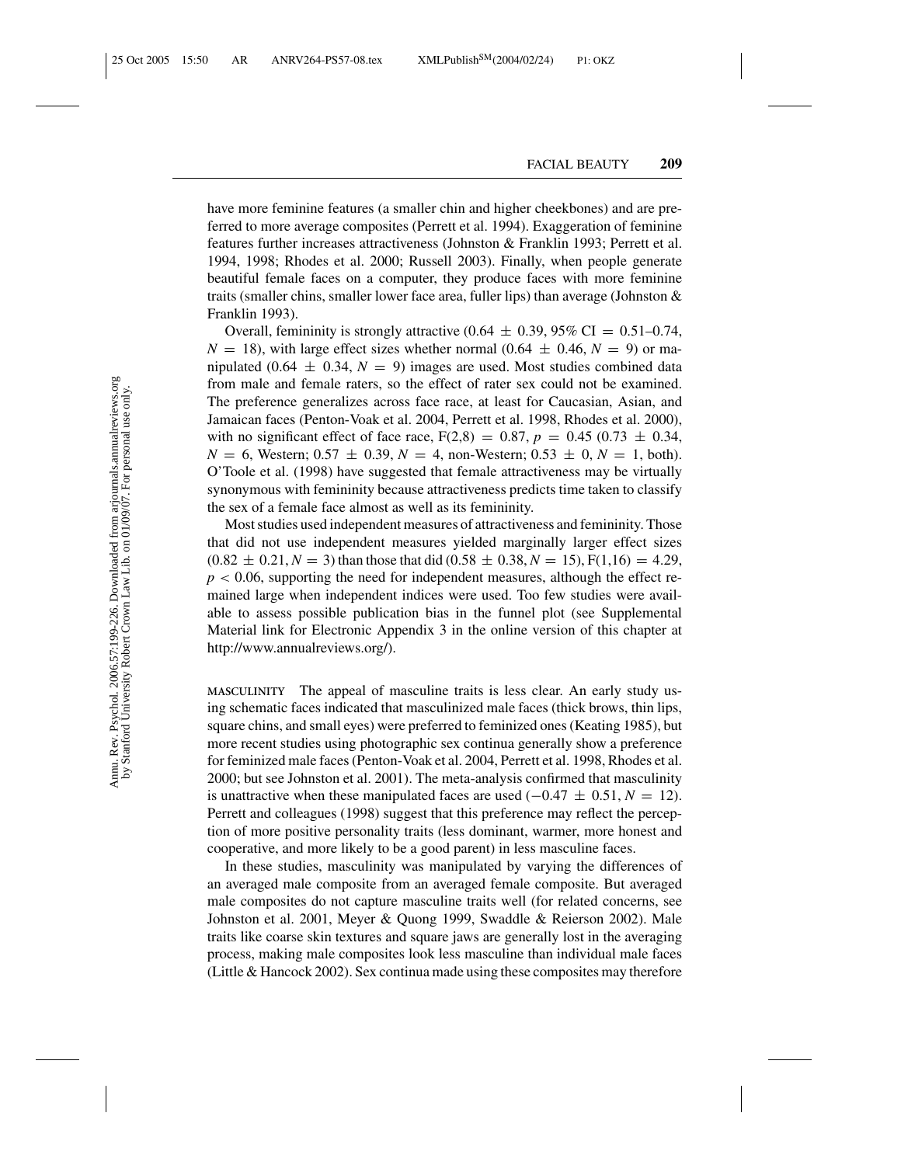have more feminine features (a smaller chin and higher cheekbones) and are preferred to more average composites (Perrett et al. 1994). Exaggeration of feminine features further increases attractiveness (Johnston & Franklin 1993; Perrett et al. 1994, 1998; Rhodes et al. 2000; Russell 2003). Finally, when people generate beautiful female faces on a computer, they produce faces with more feminine traits (smaller chins, smaller lower face area, fuller lips) than average (Johnston  $\&$ Franklin 1993).

Overall, femininity is strongly attractive  $(0.64 \pm 0.39, 95\% \text{ CI} = 0.51{\text -}0.74,$  $N = 18$ ), with large effect sizes whether normal  $(0.64 \pm 0.46, N = 9)$  or manipulated (0.64  $\pm$  0.34,  $N = 9$ ) images are used. Most studies combined data from male and female raters, so the effect of rater sex could not be examined. The preference generalizes across face race, at least for Caucasian, Asian, and Jamaican faces (Penton-Voak et al. 2004, Perrett et al. 1998, Rhodes et al. 2000), with no significant effect of face race,  $F(2,8) = 0.87, p = 0.45, (0.73 \pm 0.34,$  $N = 6$ , Western; 0.57  $\pm$  0.39,  $N = 4$ , non-Western; 0.53  $\pm$  0,  $N = 1$ , both). O'Toole et al. (1998) have suggested that female attractiveness may be virtually synonymous with femininity because attractiveness predicts time taken to classify the sex of a female face almost as well as its femininity.

Most studies used independent measures of attractiveness and femininity. Those that did not use independent measures yielded marginally larger effect sizes  $(0.82 \pm 0.21, N = 3)$  than those that did  $(0.58 \pm 0.38, N = 15)$ ,  $F(1,16) = 4.29$ ,  $p < 0.06$ , supporting the need for independent measures, although the effect remained large when independent indices were used. Too few studies were available to assess possible publication bias in the funnel plot (see Supplemental Material link for Electronic Appendix 3 in the online version of this chapter at http://www.annualreviews.org/).

**MASCULINITY** The appeal of masculine traits is less clear. An early study using schematic faces indicated that masculinized male faces (thick brows, thin lips, square chins, and small eyes) were preferred to feminized ones (Keating 1985), but more recent studies using photographic sex continua generally show a preference for feminized male faces (Penton-Voak et al. 2004, Perrett et al. 1998, Rhodes et al. 2000; but see Johnston et al. 2001). The meta-analysis confirmed that masculinity is unattractive when these manipulated faces are used  $(-0.47 \pm 0.51, N = 12)$ . Perrett and colleagues (1998) suggest that this preference may reflect the perception of more positive personality traits (less dominant, warmer, more honest and cooperative, and more likely to be a good parent) in less masculine faces.

In these studies, masculinity was manipulated by varying the differences of an averaged male composite from an averaged female composite. But averaged male composites do not capture masculine traits well (for related concerns, see Johnston et al. 2001, Meyer & Quong 1999, Swaddle & Reierson 2002). Male traits like coarse skin textures and square jaws are generally lost in the averaging process, making male composites look less masculine than individual male faces (Little & Hancock 2002). Sex continua made using these composites may therefore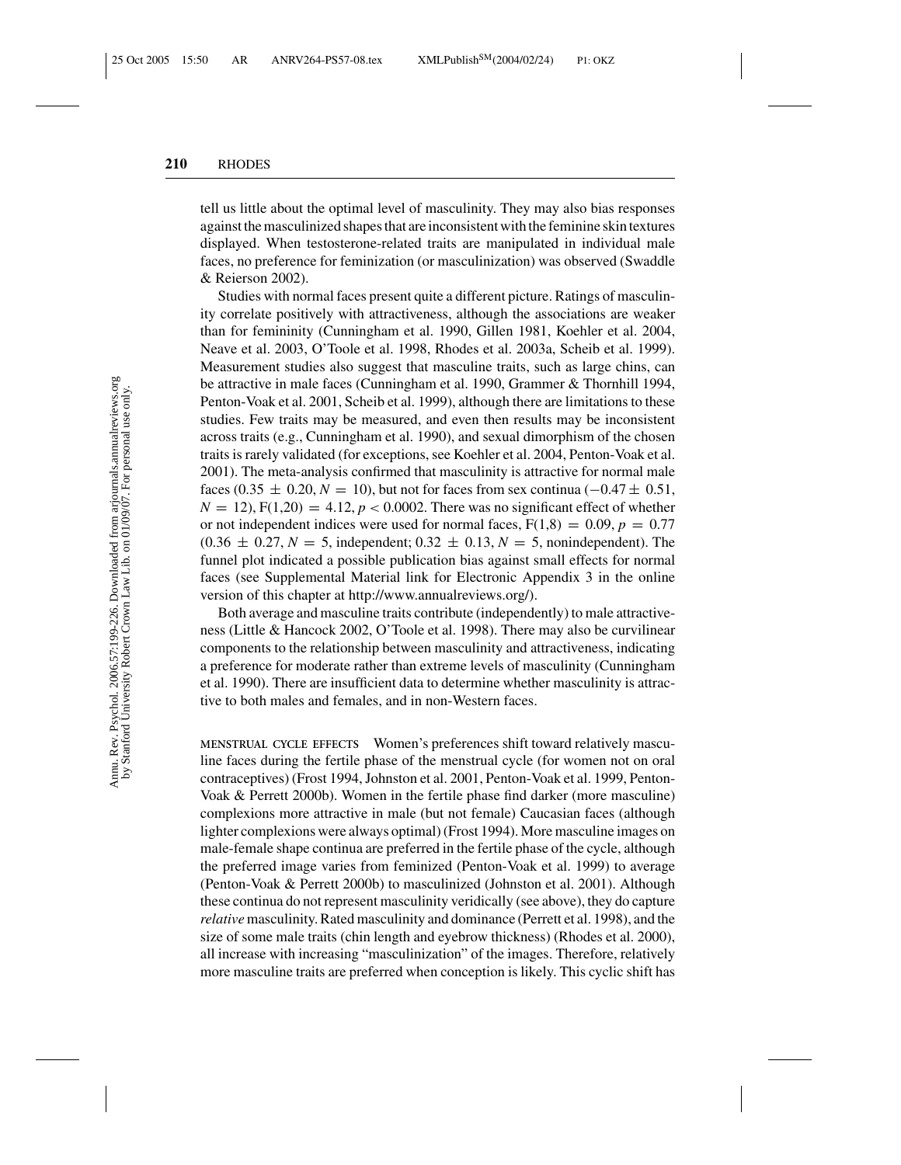tell us little about the optimal level of masculinity. They may also bias responses against the masculinized shapes that are inconsistent with the feminine skin textures displayed. When testosterone-related traits are manipulated in individual male faces, no preference for feminization (or masculinization) was observed (Swaddle & Reierson 2002).

Studies with normal faces present quite a different picture. Ratings of masculinity correlate positively with attractiveness, although the associations are weaker than for femininity (Cunningham et al. 1990, Gillen 1981, Koehler et al. 2004, Neave et al. 2003, O'Toole et al. 1998, Rhodes et al. 2003a, Scheib et al. 1999). Measurement studies also suggest that masculine traits, such as large chins, can be attractive in male faces (Cunningham et al. 1990, Grammer & Thornhill 1994, Penton-Voak et al. 2001, Scheib et al. 1999), although there are limitations to these studies. Few traits may be measured, and even then results may be inconsistent across traits (e.g., Cunningham et al. 1990), and sexual dimorphism of the chosen traits is rarely validated (for exceptions, see Koehler et al. 2004, Penton-Voak et al. 2001). The meta-analysis confirmed that masculinity is attractive for normal male faces (0.35  $\pm$  0.20, *N* = 10), but not for faces from sex continua ( $-0.47 \pm 0.51$ ,  $N = 12$ ,  $F(1,20) = 4.12$ ,  $p < 0.0002$ . There was no significant effect of whether or not independent indices were used for normal faces,  $F(1,8) = 0.09, p = 0.77$  $(0.36 \pm 0.27, N = 5, \text{ independent}; 0.32 \pm 0.13, N = 5, \text{ nonindependent}).$  The funnel plot indicated a possible publication bias against small effects for normal faces (see Supplemental Material link for Electronic Appendix 3 in the online version of this chapter at http://www.annualreviews.org/).

Both average and masculine traits contribute (independently) to male attractiveness (Little & Hancock 2002, O'Toole et al. 1998). There may also be curvilinear components to the relationship between masculinity and attractiveness, indicating a preference for moderate rather than extreme levels of masculinity (Cunningham et al. 1990). There are insufficient data to determine whether masculinity is attractive to both males and females, and in non-Western faces.

**MENSTRUAL CYCLE EFFECTS** Women's preferences shift toward relatively masculine faces during the fertile phase of the menstrual cycle (for women not on oral contraceptives) (Frost 1994, Johnston et al. 2001, Penton-Voak et al. 1999, Penton-Voak & Perrett 2000b). Women in the fertile phase find darker (more masculine) complexions more attractive in male (but not female) Caucasian faces (although lighter complexions were always optimal) (Frost 1994). More masculine images on male-female shape continua are preferred in the fertile phase of the cycle, although the preferred image varies from feminized (Penton-Voak et al. 1999) to average (Penton-Voak & Perrett 2000b) to masculinized (Johnston et al. 2001). Although these continua do not represent masculinity veridically (see above), they do capture *relative* masculinity. Rated masculinity and dominance (Perrett et al. 1998), and the size of some male traits (chin length and eyebrow thickness) (Rhodes et al. 2000), all increase with increasing "masculinization" of the images. Therefore, relatively more masculine traits are preferred when conception is likely. This cyclic shift has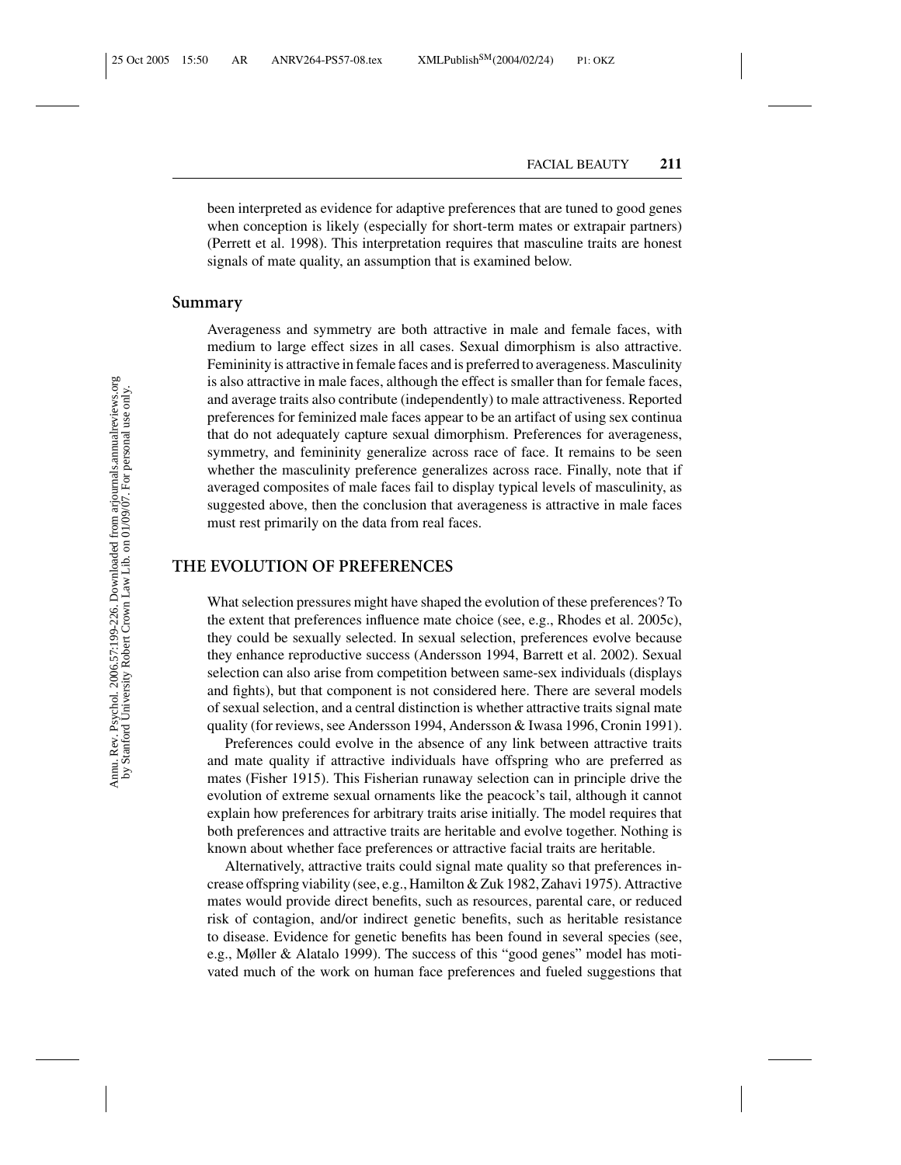been interpreted as evidence for adaptive preferences that are tuned to good genes when conception is likely (especially for short-term mates or extrapair partners) (Perrett et al. 1998). This interpretation requires that masculine traits are honest signals of mate quality, an assumption that is examined below.

### **Summary**

Averageness and symmetry are both attractive in male and female faces, with medium to large effect sizes in all cases. Sexual dimorphism is also attractive. Femininity is attractive in female faces and is preferred to averageness. Masculinity is also attractive in male faces, although the effect is smaller than for female faces, and average traits also contribute (independently) to male attractiveness. Reported preferences for feminized male faces appear to be an artifact of using sex continua that do not adequately capture sexual dimorphism. Preferences for averageness, symmetry, and femininity generalize across race of face. It remains to be seen whether the masculinity preference generalizes across race. Finally, note that if averaged composites of male faces fail to display typical levels of masculinity, as suggested above, then the conclusion that averageness is attractive in male faces must rest primarily on the data from real faces.

# **THE EVOLUTION OF PREFERENCES**

What selection pressures might have shaped the evolution of these preferences? To the extent that preferences influence mate choice (see, e.g., Rhodes et al. 2005c), they could be sexually selected. In sexual selection, preferences evolve because they enhance reproductive success (Andersson 1994, Barrett et al. 2002). Sexual selection can also arise from competition between same-sex individuals (displays and fights), but that component is not considered here. There are several models of sexual selection, and a central distinction is whether attractive traits signal mate quality (for reviews, see Andersson 1994, Andersson & Iwasa 1996, Cronin 1991).

Preferences could evolve in the absence of any link between attractive traits and mate quality if attractive individuals have offspring who are preferred as mates (Fisher 1915). This Fisherian runaway selection can in principle drive the evolution of extreme sexual ornaments like the peacock's tail, although it cannot explain how preferences for arbitrary traits arise initially. The model requires that both preferences and attractive traits are heritable and evolve together. Nothing is known about whether face preferences or attractive facial traits are heritable.

Alternatively, attractive traits could signal mate quality so that preferences increase offspring viability (see, e.g., Hamilton & Zuk 1982, Zahavi 1975). Attractive mates would provide direct benefits, such as resources, parental care, or reduced risk of contagion, and/or indirect genetic benefits, such as heritable resistance to disease. Evidence for genetic benefits has been found in several species (see, e.g., Møller & Alatalo 1999). The success of this "good genes" model has motivated much of the work on human face preferences and fueled suggestions that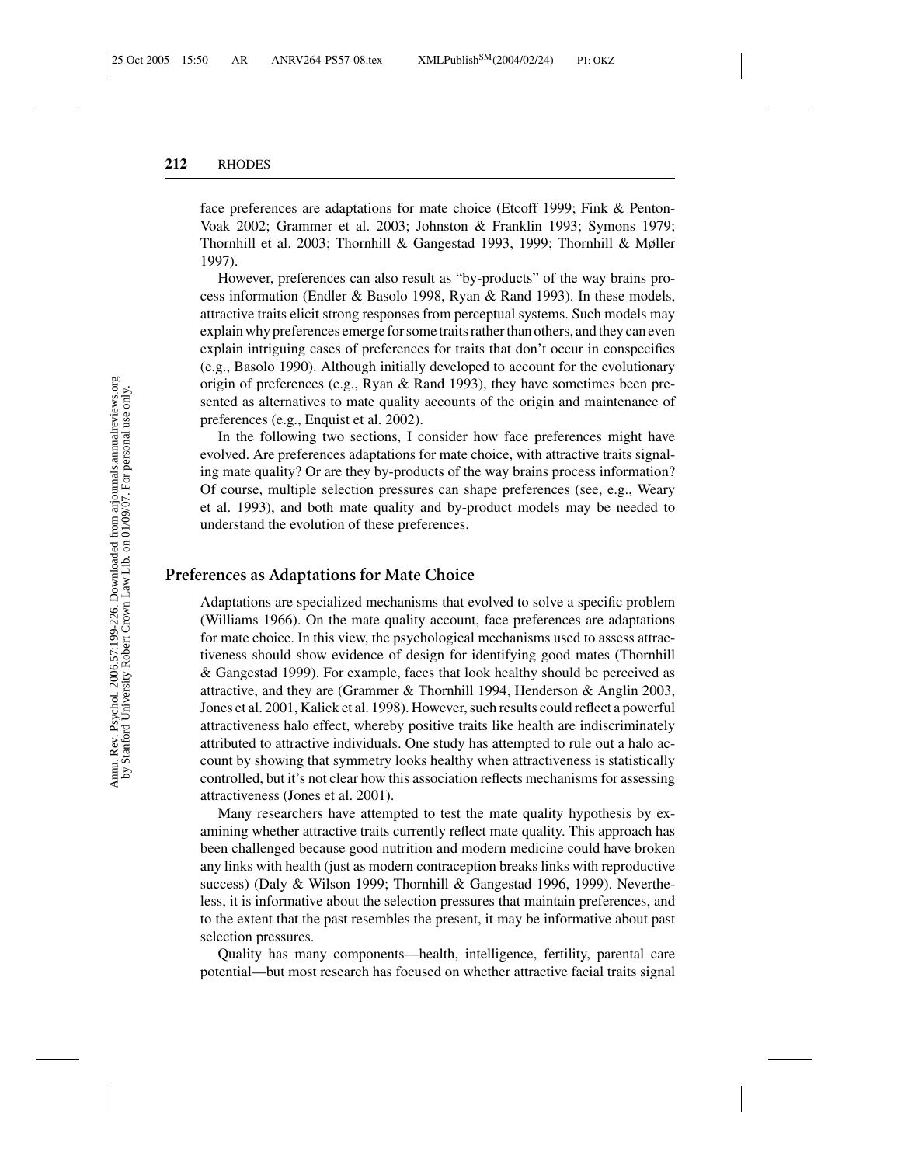face preferences are adaptations for mate choice (Etcoff 1999; Fink & Penton-Voak 2002; Grammer et al. 2003; Johnston & Franklin 1993; Symons 1979; Thornhill et al. 2003; Thornhill & Gangestad 1993, 1999; Thornhill & Møller 1997).

However, preferences can also result as "by-products" of the way brains process information (Endler & Basolo 1998, Ryan & Rand 1993). In these models, attractive traits elicit strong responses from perceptual systems. Such models may explain why preferences emerge for some traits rather than others, and they can even explain intriguing cases of preferences for traits that don't occur in conspecifics (e.g., Basolo 1990). Although initially developed to account for the evolutionary origin of preferences (e.g., Ryan & Rand 1993), they have sometimes been presented as alternatives to mate quality accounts of the origin and maintenance of preferences (e.g., Enquist et al. 2002).

In the following two sections, I consider how face preferences might have evolved. Are preferences adaptations for mate choice, with attractive traits signaling mate quality? Or are they by-products of the way brains process information? Of course, multiple selection pressures can shape preferences (see, e.g., Weary et al. 1993), and both mate quality and by-product models may be needed to understand the evolution of these preferences.

# **Preferences as Adaptations for Mate Choice**

Adaptations are specialized mechanisms that evolved to solve a specific problem (Williams 1966). On the mate quality account, face preferences are adaptations for mate choice. In this view, the psychological mechanisms used to assess attractiveness should show evidence of design for identifying good mates (Thornhill & Gangestad 1999). For example, faces that look healthy should be perceived as attractive, and they are (Grammer & Thornhill 1994, Henderson & Anglin 2003, Jones et al. 2001, Kalick et al. 1998). However, such results could reflect a powerful attractiveness halo effect, whereby positive traits like health are indiscriminately attributed to attractive individuals. One study has attempted to rule out a halo account by showing that symmetry looks healthy when attractiveness is statistically controlled, but it's not clear how this association reflects mechanisms for assessing attractiveness (Jones et al. 2001).

Many researchers have attempted to test the mate quality hypothesis by examining whether attractive traits currently reflect mate quality. This approach has been challenged because good nutrition and modern medicine could have broken any links with health (just as modern contraception breaks links with reproductive success) (Daly & Wilson 1999; Thornhill & Gangestad 1996, 1999). Nevertheless, it is informative about the selection pressures that maintain preferences, and to the extent that the past resembles the present, it may be informative about past selection pressures.

Quality has many components—health, intelligence, fertility, parental care potential—but most research has focused on whether attractive facial traits signal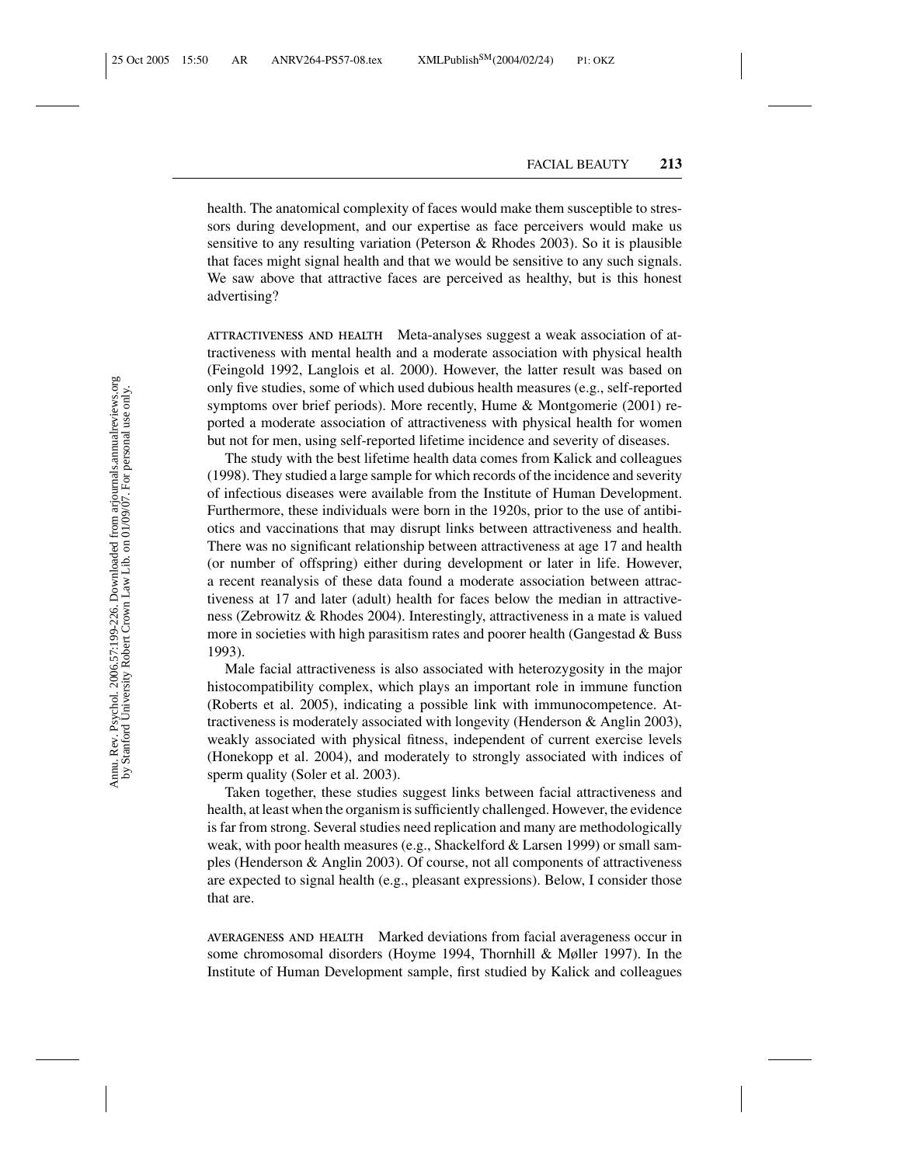health. The anatomical complexity of faces would make them susceptible to stressors during development, and our expertise as face perceivers would make us sensitive to any resulting variation (Peterson & Rhodes 2003). So it is plausible that faces might signal health and that we would be sensitive to any such signals. We saw above that attractive faces are perceived as healthy, but is this honest advertising?

**ATTRACTIVENESS AND HEALTH** Meta-analyses suggest a weak association of attractiveness with mental health and a moderate association with physical health (Feingold 1992, Langlois et al. 2000). However, the latter result was based on only five studies, some of which used dubious health measures (e.g., self-reported symptoms over brief periods). More recently, Hume & Montgomerie (2001) reported a moderate association of attractiveness with physical health for women but not for men, using self-reported lifetime incidence and severity of diseases.

The study with the best lifetime health data comes from Kalick and colleagues (1998). They studied a large sample for which records of the incidence and severity of infectious diseases were available from the Institute of Human Development. Furthermore, these individuals were born in the 1920s, prior to the use of antibiotics and vaccinations that may disrupt links between attractiveness and health. There was no significant relationship between attractiveness at age 17 and health (or number of offspring) either during development or later in life. However, a recent reanalysis of these data found a moderate association between attractiveness at 17 and later (adult) health for faces below the median in attractiveness (Zebrowitz & Rhodes 2004). Interestingly, attractiveness in a mate is valued more in societies with high parasitism rates and poorer health (Gangestad & Buss 1993).

Male facial attractiveness is also associated with heterozygosity in the major histocompatibility complex, which plays an important role in immune function (Roberts et al. 2005), indicating a possible link with immunocompetence. Attractiveness is moderately associated with longevity (Henderson & Anglin 2003), weakly associated with physical fitness, independent of current exercise levels (Honekopp et al. 2004), and moderately to strongly associated with indices of sperm quality (Soler et al. 2003).

Taken together, these studies suggest links between facial attractiveness and health, at least when the organism is sufficiently challenged. However, the evidence is far from strong. Several studies need replication and many are methodologically weak, with poor health measures (e.g., Shackelford & Larsen 1999) or small samples (Henderson & Anglin 2003). Of course, not all components of attractiveness are expected to signal health (e.g., pleasant expressions). Below, I consider those that are.

**AVERAGENESS AND HEALTH** Marked deviations from facial averageness occur in some chromosomal disorders (Hoyme 1994, Thornhill & Møller 1997). In the Institute of Human Development sample, first studied by Kalick and colleagues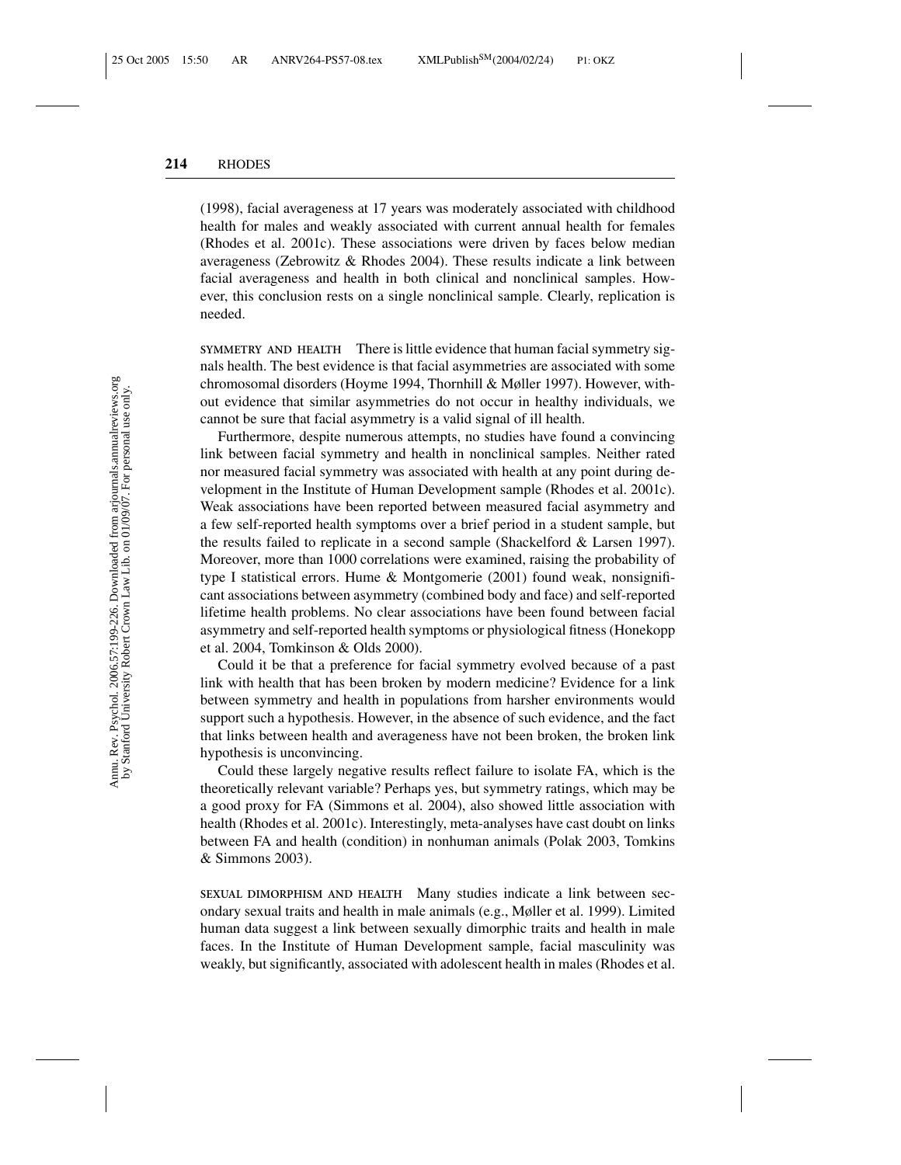(1998), facial averageness at 17 years was moderately associated with childhood health for males and weakly associated with current annual health for females (Rhodes et al. 2001c). These associations were driven by faces below median averageness (Zebrowitz & Rhodes 2004). These results indicate a link between facial averageness and health in both clinical and nonclinical samples. However, this conclusion rests on a single nonclinical sample. Clearly, replication is needed.

**SYMMETRY AND HEALTH** There is little evidence that human facial symmetry signals health. The best evidence is that facial asymmetries are associated with some chromosomal disorders (Hoyme 1994, Thornhill & Møller 1997). However, without evidence that similar asymmetries do not occur in healthy individuals, we cannot be sure that facial asymmetry is a valid signal of ill health.

Furthermore, despite numerous attempts, no studies have found a convincing link between facial symmetry and health in nonclinical samples. Neither rated nor measured facial symmetry was associated with health at any point during development in the Institute of Human Development sample (Rhodes et al. 2001c). Weak associations have been reported between measured facial asymmetry and a few self-reported health symptoms over a brief period in a student sample, but the results failed to replicate in a second sample (Shackelford & Larsen 1997). Moreover, more than 1000 correlations were examined, raising the probability of type I statistical errors. Hume & Montgomerie (2001) found weak, nonsignificant associations between asymmetry (combined body and face) and self-reported lifetime health problems. No clear associations have been found between facial asymmetry and self-reported health symptoms or physiological fitness (Honekopp et al. 2004, Tomkinson & Olds 2000).

Could it be that a preference for facial symmetry evolved because of a past link with health that has been broken by modern medicine? Evidence for a link between symmetry and health in populations from harsher environments would support such a hypothesis. However, in the absence of such evidence, and the fact that links between health and averageness have not been broken, the broken link hypothesis is unconvincing.

Could these largely negative results reflect failure to isolate FA, which is the theoretically relevant variable? Perhaps yes, but symmetry ratings, which may be a good proxy for FA (Simmons et al. 2004), also showed little association with health (Rhodes et al. 2001c). Interestingly, meta-analyses have cast doubt on links between FA and health (condition) in nonhuman animals (Polak 2003, Tomkins & Simmons 2003).

**SEXUAL DIMORPHISM AND HEALTH** Many studies indicate a link between secondary sexual traits and health in male animals (e.g., Møller et al. 1999). Limited human data suggest a link between sexually dimorphic traits and health in male faces. In the Institute of Human Development sample, facial masculinity was weakly, but significantly, associated with adolescent health in males (Rhodes et al.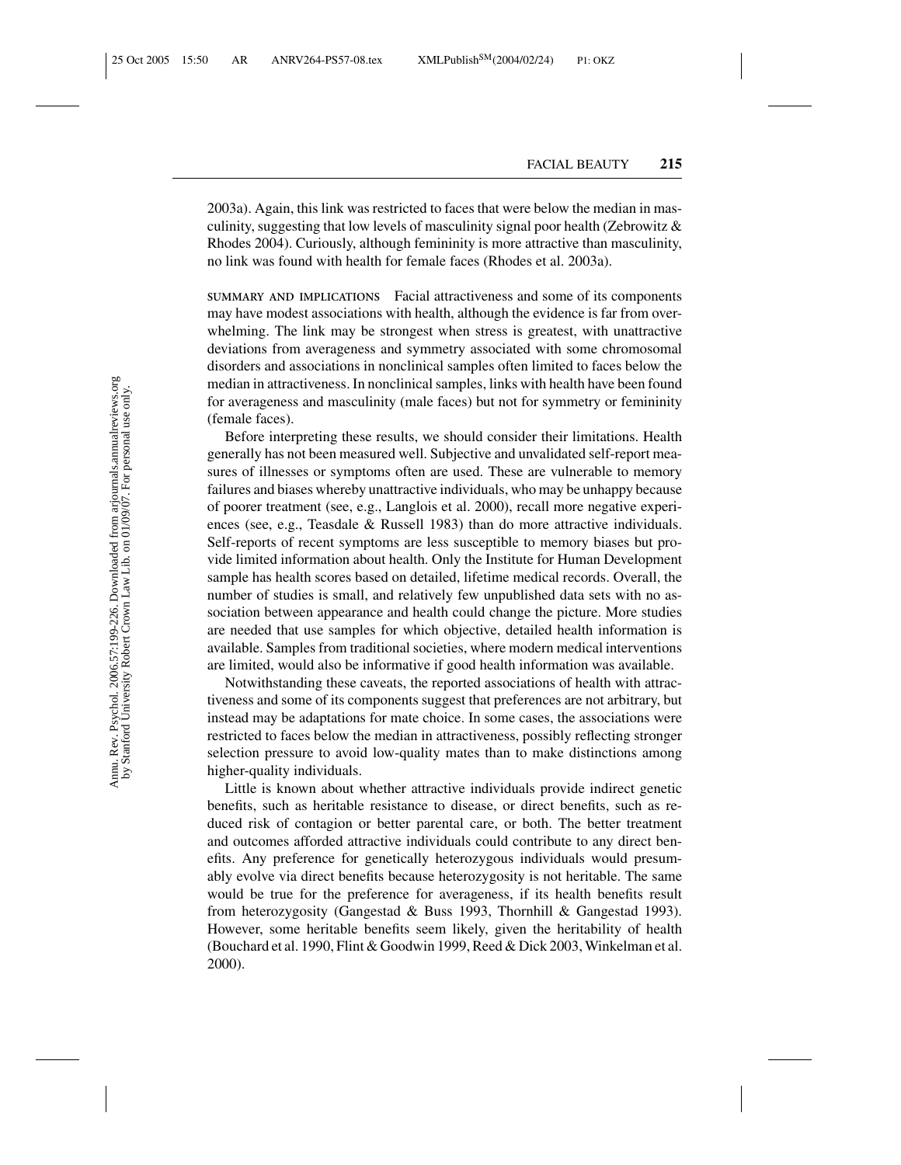2003a). Again, this link was restricted to faces that were below the median in masculinity, suggesting that low levels of masculinity signal poor health (Zebrowitz & Rhodes 2004). Curiously, although femininity is more attractive than masculinity, no link was found with health for female faces (Rhodes et al. 2003a).

**SUMMARY AND IMPLICATIONS** Facial attractiveness and some of its components may have modest associations with health, although the evidence is far from overwhelming. The link may be strongest when stress is greatest, with unattractive deviations from averageness and symmetry associated with some chromosomal disorders and associations in nonclinical samples often limited to faces below the median in attractiveness. In nonclinical samples, links with health have been found for averageness and masculinity (male faces) but not for symmetry or femininity (female faces).

Before interpreting these results, we should consider their limitations. Health generally has not been measured well. Subjective and unvalidated self-report measures of illnesses or symptoms often are used. These are vulnerable to memory failures and biases whereby unattractive individuals, who may be unhappy because of poorer treatment (see, e.g., Langlois et al. 2000), recall more negative experiences (see, e.g., Teasdale & Russell 1983) than do more attractive individuals. Self-reports of recent symptoms are less susceptible to memory biases but provide limited information about health. Only the Institute for Human Development sample has health scores based on detailed, lifetime medical records. Overall, the number of studies is small, and relatively few unpublished data sets with no association between appearance and health could change the picture. More studies are needed that use samples for which objective, detailed health information is available. Samples from traditional societies, where modern medical interventions are limited, would also be informative if good health information was available.

Notwithstanding these caveats, the reported associations of health with attractiveness and some of its components suggest that preferences are not arbitrary, but instead may be adaptations for mate choice. In some cases, the associations were restricted to faces below the median in attractiveness, possibly reflecting stronger selection pressure to avoid low-quality mates than to make distinctions among higher-quality individuals.

Little is known about whether attractive individuals provide indirect genetic benefits, such as heritable resistance to disease, or direct benefits, such as reduced risk of contagion or better parental care, or both. The better treatment and outcomes afforded attractive individuals could contribute to any direct benefits. Any preference for genetically heterozygous individuals would presumably evolve via direct benefits because heterozygosity is not heritable. The same would be true for the preference for averageness, if its health benefits result from heterozygosity (Gangestad & Buss 1993, Thornhill & Gangestad 1993). However, some heritable benefits seem likely, given the heritability of health (Bouchard et al. 1990, Flint & Goodwin 1999, Reed & Dick 2003, Winkelman et al. 2000).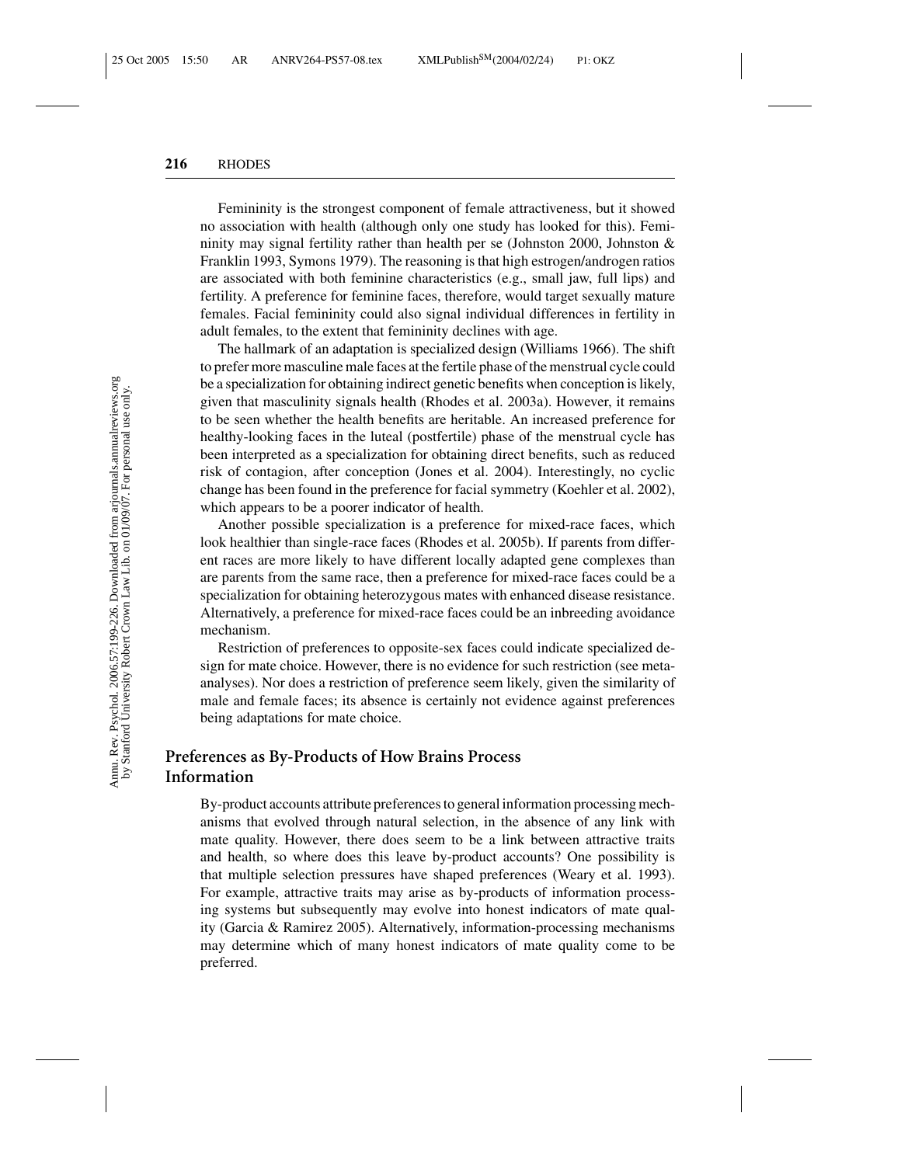Femininity is the strongest component of female attractiveness, but it showed no association with health (although only one study has looked for this). Femininity may signal fertility rather than health per se (Johnston 2000, Johnston  $\&$ Franklin 1993, Symons 1979). The reasoning is that high estrogen/androgen ratios are associated with both feminine characteristics (e.g., small jaw, full lips) and fertility. A preference for feminine faces, therefore, would target sexually mature females. Facial femininity could also signal individual differences in fertility in adult females, to the extent that femininity declines with age.

The hallmark of an adaptation is specialized design (Williams 1966). The shift to prefer more masculine male faces at the fertile phase of the menstrual cycle could be a specialization for obtaining indirect genetic benefits when conception is likely, given that masculinity signals health (Rhodes et al. 2003a). However, it remains to be seen whether the health benefits are heritable. An increased preference for healthy-looking faces in the luteal (postfertile) phase of the menstrual cycle has been interpreted as a specialization for obtaining direct benefits, such as reduced risk of contagion, after conception (Jones et al. 2004). Interestingly, no cyclic change has been found in the preference for facial symmetry (Koehler et al. 2002), which appears to be a poorer indicator of health.

Another possible specialization is a preference for mixed-race faces, which look healthier than single-race faces (Rhodes et al. 2005b). If parents from different races are more likely to have different locally adapted gene complexes than are parents from the same race, then a preference for mixed-race faces could be a specialization for obtaining heterozygous mates with enhanced disease resistance. Alternatively, a preference for mixed-race faces could be an inbreeding avoidance mechanism.

Restriction of preferences to opposite-sex faces could indicate specialized design for mate choice. However, there is no evidence for such restriction (see metaanalyses). Nor does a restriction of preference seem likely, given the similarity of male and female faces; its absence is certainly not evidence against preferences being adaptations for mate choice.

# **Preferences as By-Products of How Brains Process Information**

By-product accounts attribute preferences to general information processing mechanisms that evolved through natural selection, in the absence of any link with mate quality. However, there does seem to be a link between attractive traits and health, so where does this leave by-product accounts? One possibility is that multiple selection pressures have shaped preferences (Weary et al. 1993). For example, attractive traits may arise as by-products of information processing systems but subsequently may evolve into honest indicators of mate quality (Garcia & Ramirez 2005). Alternatively, information-processing mechanisms may determine which of many honest indicators of mate quality come to be preferred.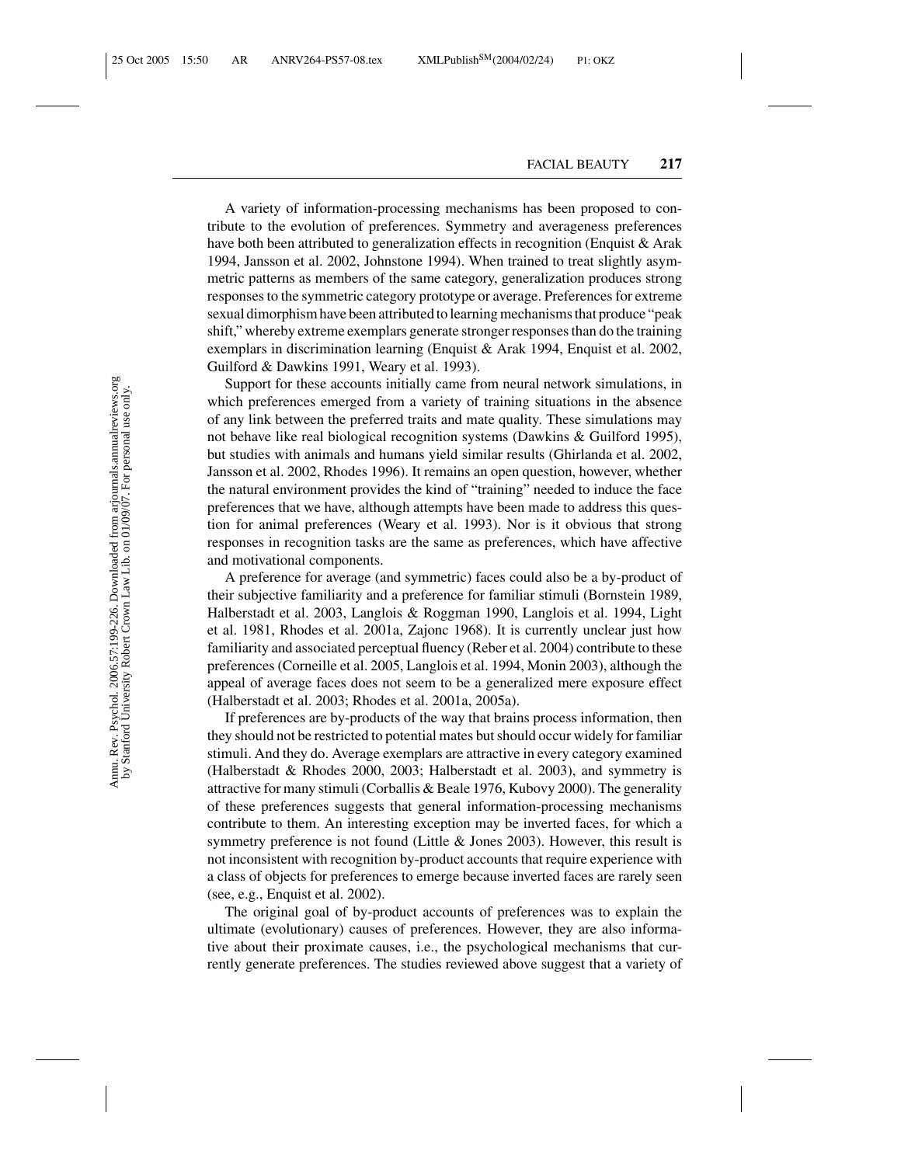A variety of information-processing mechanisms has been proposed to contribute to the evolution of preferences. Symmetry and averageness preferences have both been attributed to generalization effects in recognition (Enquist & Arak 1994, Jansson et al. 2002, Johnstone 1994). When trained to treat slightly asymmetric patterns as members of the same category, generalization produces strong responses to the symmetric category prototype or average. Preferences for extreme sexual dimorphism have been attributed to learning mechanisms that produce "peak shift," whereby extreme exemplars generate stronger responses than do the training exemplars in discrimination learning (Enquist & Arak 1994, Enquist et al. 2002, Guilford & Dawkins 1991, Weary et al. 1993).

Support for these accounts initially came from neural network simulations, in which preferences emerged from a variety of training situations in the absence of any link between the preferred traits and mate quality. These simulations may not behave like real biological recognition systems (Dawkins & Guilford 1995), but studies with animals and humans yield similar results (Ghirlanda et al. 2002, Jansson et al. 2002, Rhodes 1996). It remains an open question, however, whether the natural environment provides the kind of "training" needed to induce the face preferences that we have, although attempts have been made to address this question for animal preferences (Weary et al. 1993). Nor is it obvious that strong responses in recognition tasks are the same as preferences, which have affective and motivational components.

A preference for average (and symmetric) faces could also be a by-product of their subjective familiarity and a preference for familiar stimuli (Bornstein 1989, Halberstadt et al. 2003, Langlois & Roggman 1990, Langlois et al. 1994, Light et al. 1981, Rhodes et al. 2001a, Zajonc 1968). It is currently unclear just how familiarity and associated perceptual fluency (Reber et al. 2004) contribute to these preferences (Corneille et al. 2005, Langlois et al. 1994, Monin 2003), although the appeal of average faces does not seem to be a generalized mere exposure effect (Halberstadt et al. 2003; Rhodes et al. 2001a, 2005a).

If preferences are by-products of the way that brains process information, then they should not be restricted to potential mates but should occur widely for familiar stimuli. And they do. Average exemplars are attractive in every category examined (Halberstadt & Rhodes 2000, 2003; Halberstadt et al. 2003), and symmetry is attractive for many stimuli (Corballis & Beale 1976, Kubovy 2000). The generality of these preferences suggests that general information-processing mechanisms contribute to them. An interesting exception may be inverted faces, for which a symmetry preference is not found (Little & Jones 2003). However, this result is not inconsistent with recognition by-product accounts that require experience with a class of objects for preferences to emerge because inverted faces are rarely seen (see, e.g., Enquist et al. 2002).

The original goal of by-product accounts of preferences was to explain the ultimate (evolutionary) causes of preferences. However, they are also informative about their proximate causes, i.e., the psychological mechanisms that currently generate preferences. The studies reviewed above suggest that a variety of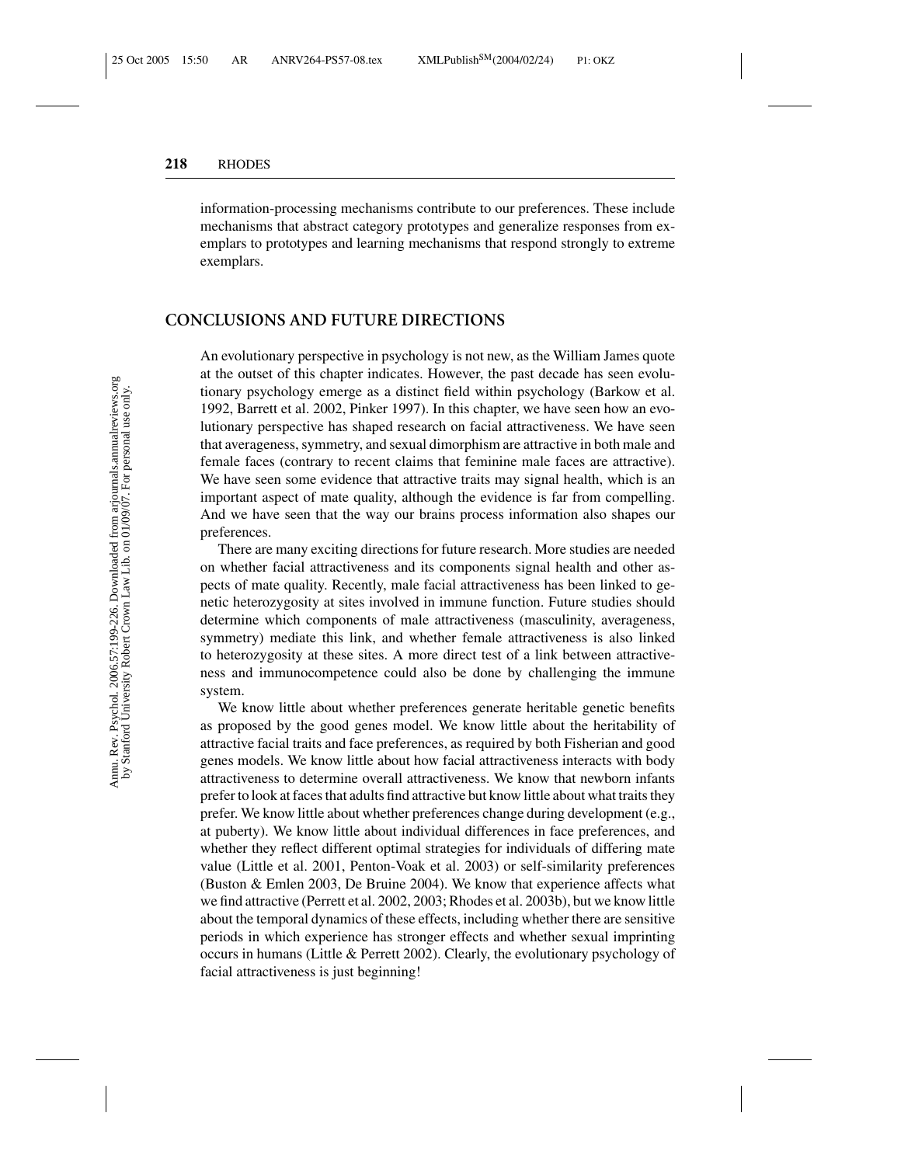information-processing mechanisms contribute to our preferences. These include mechanisms that abstract category prototypes and generalize responses from exemplars to prototypes and learning mechanisms that respond strongly to extreme exemplars.

# **CONCLUSIONS AND FUTURE DIRECTIONS**

An evolutionary perspective in psychology is not new, as the William James quote at the outset of this chapter indicates. However, the past decade has seen evolutionary psychology emerge as a distinct field within psychology (Barkow et al. 1992, Barrett et al. 2002, Pinker 1997). In this chapter, we have seen how an evolutionary perspective has shaped research on facial attractiveness. We have seen that averageness, symmetry, and sexual dimorphism are attractive in both male and female faces (contrary to recent claims that feminine male faces are attractive). We have seen some evidence that attractive traits may signal health, which is an important aspect of mate quality, although the evidence is far from compelling. And we have seen that the way our brains process information also shapes our preferences.

There are many exciting directions for future research. More studies are needed on whether facial attractiveness and its components signal health and other aspects of mate quality. Recently, male facial attractiveness has been linked to genetic heterozygosity at sites involved in immune function. Future studies should determine which components of male attractiveness (masculinity, averageness, symmetry) mediate this link, and whether female attractiveness is also linked to heterozygosity at these sites. A more direct test of a link between attractiveness and immunocompetence could also be done by challenging the immune system.

We know little about whether preferences generate heritable genetic benefits as proposed by the good genes model. We know little about the heritability of attractive facial traits and face preferences, as required by both Fisherian and good genes models. We know little about how facial attractiveness interacts with body attractiveness to determine overall attractiveness. We know that newborn infants prefer to look at faces that adults find attractive but know little about what traits they prefer. We know little about whether preferences change during development (e.g., at puberty). We know little about individual differences in face preferences, and whether they reflect different optimal strategies for individuals of differing mate value (Little et al. 2001, Penton-Voak et al. 2003) or self-similarity preferences (Buston & Emlen 2003, De Bruine 2004). We know that experience affects what we find attractive (Perrett et al. 2002, 2003; Rhodes et al. 2003b), but we know little about the temporal dynamics of these effects, including whether there are sensitive periods in which experience has stronger effects and whether sexual imprinting occurs in humans (Little & Perrett 2002). Clearly, the evolutionary psychology of facial attractiveness is just beginning!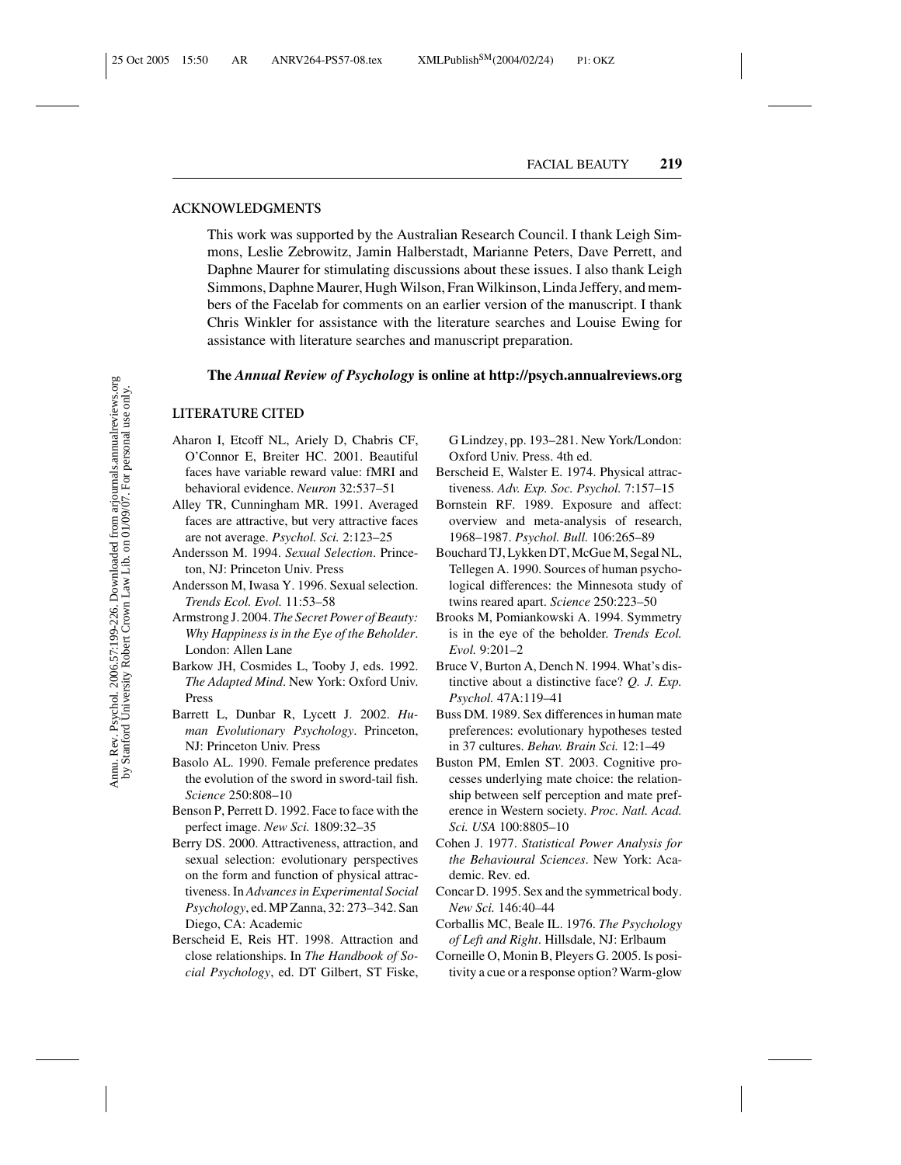#### **ACKNOWLEDGMENTS**

This work was supported by the Australian Research Council. I thank Leigh Simmons, Leslie Zebrowitz, Jamin Halberstadt, Marianne Peters, Dave Perrett, and Daphne Maurer for stimulating discussions about these issues. I also thank Leigh Simmons, Daphne Maurer, Hugh Wilson, Fran Wilkinson, Linda Jeffery, and members of the Facelab for comments on an earlier version of the manuscript. I thank Chris Winkler for assistance with the literature searches and Louise Ewing for assistance with literature searches and manuscript preparation.

#### **The** *Annual Review of Psychology* **is online at http://psych.annualreviews.org**

#### **LITERATURE CITED**

- Aharon I, Etcoff NL, Ariely D, Chabris CF, O'Connor E, Breiter HC. 2001. Beautiful faces have variable reward value: fMRI and behavioral evidence. *Neuron* 32:537–51
- Alley TR, Cunningham MR. 1991. Averaged faces are attractive, but very attractive faces are not average. *Psychol. Sci.* 2:123–25
- Andersson M. 1994. *Sexual Selection*. Princeton, NJ: Princeton Univ. Press
- Andersson M, Iwasa Y. 1996. Sexual selection. *Trends Ecol. Evol.* 11:53–58
- Armstrong J. 2004. *The Secret Power of Beauty: Why Happiness is in the Eye of the Beholder*. London: Allen Lane
- Barkow JH, Cosmides L, Tooby J, eds. 1992. *The Adapted Mind*. New York: Oxford Univ. Press
- Barrett L, Dunbar R, Lycett J. 2002. *Human Evolutionary Psychology*. Princeton, NJ: Princeton Univ. Press
- Basolo AL. 1990. Female preference predates the evolution of the sword in sword-tail fish. *Science* 250:808–10
- Benson P, Perrett D. 1992. Face to face with the perfect image. *New Sci.* 1809:32–35
- Berry DS. 2000. Attractiveness, attraction, and sexual selection: evolutionary perspectives on the form and function of physical attractiveness. In *Advances in Experimental Social Psychology*, ed. MP Zanna, 32: 273–342. San Diego, CA: Academic
- Berscheid E, Reis HT. 1998. Attraction and close relationships. In *The Handbook of Social Psychology*, ed. DT Gilbert, ST Fiske,

G Lindzey, pp. 193–281. New York/London: Oxford Univ. Press. 4th ed.

- Berscheid E, Walster E. 1974. Physical attractiveness. *Adv. Exp. Soc. Psychol.* 7:157–15
- Bornstein RF. 1989. Exposure and affect: overview and meta-analysis of research, 1968–1987. *Psychol. Bull.* 106:265–89
- Bouchard TJ, Lykken DT, McGue M, Segal NL, Tellegen A. 1990. Sources of human psychological differences: the Minnesota study of twins reared apart. *Science* 250:223–50
- Brooks M, Pomiankowski A. 1994. Symmetry is in the eye of the beholder. *Trends Ecol. Evol.* 9:201–2
- Bruce V, Burton A, Dench N. 1994. What's distinctive about a distinctive face? *Q. J. Exp. Psychol.* 47A:119–41
- Buss DM. 1989. Sex differences in human mate preferences: evolutionary hypotheses tested in 37 cultures. *Behav. Brain Sci.* 12:1–49
- Buston PM, Emlen ST. 2003. Cognitive processes underlying mate choice: the relationship between self perception and mate preference in Western society. *Proc. Natl. Acad. Sci. USA* 100:8805–10
- Cohen J. 1977. *Statistical Power Analysis for the Behavioural Sciences*. New York: Academic. Rev. ed.
- Concar D. 1995. Sex and the symmetrical body. *New Sci.* 146:40–44
- Corballis MC, Beale IL. 1976. *The Psychology of Left and Right*. Hillsdale, NJ: Erlbaum
- Corneille O, Monin B, Pleyers G. 2005. Is positivity a cue or a response option? Warm-glow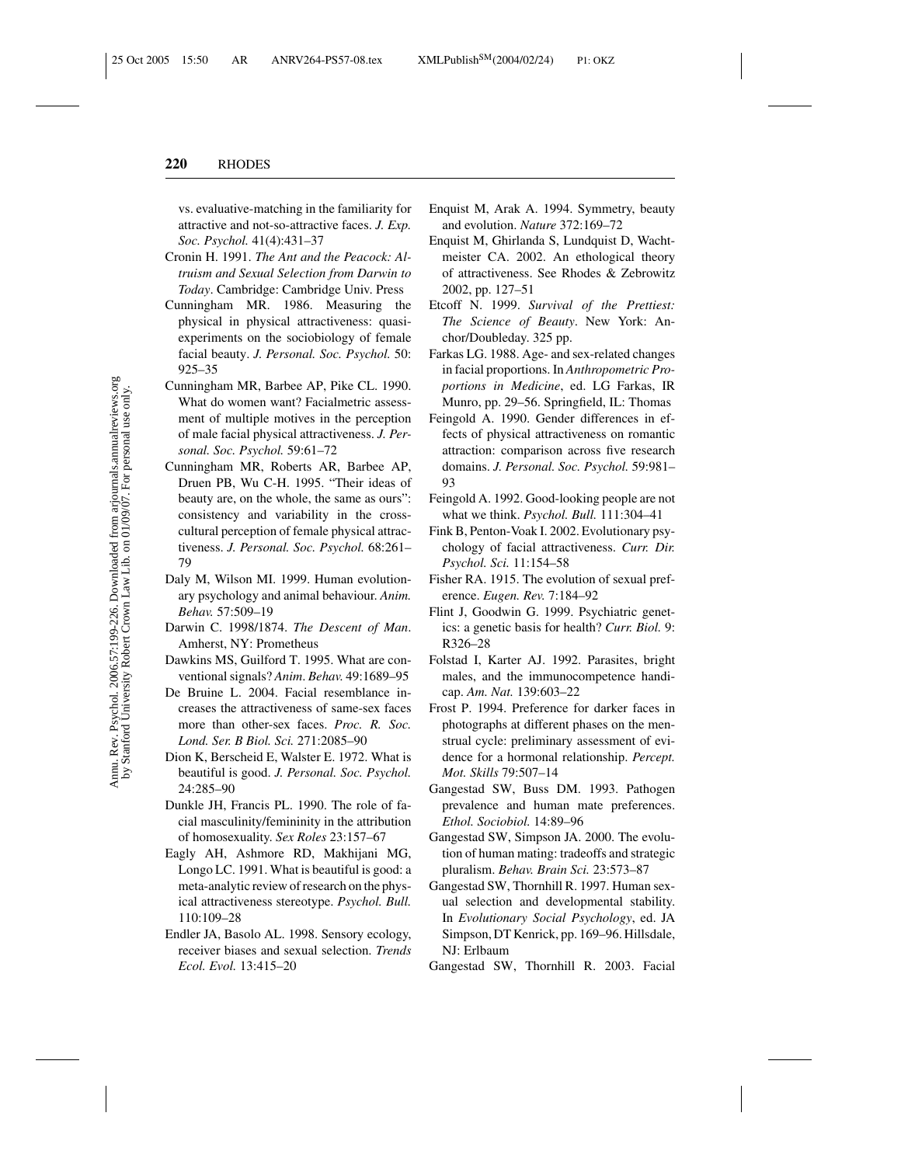vs. evaluative-matching in the familiarity for attractive and not-so-attractive faces. *J. Exp. Soc. Psychol.* 41(4):431–37

- Cronin H. 1991. *The Ant and the Peacock: Altruism and Sexual Selection from Darwin to Today*. Cambridge: Cambridge Univ. Press
- Cunningham MR. 1986. Measuring the physical in physical attractiveness: quasiexperiments on the sociobiology of female facial beauty. *J. Personal. Soc. Psychol.* 50: 925–35
- Cunningham MR, Barbee AP, Pike CL. 1990. What do women want? Facialmetric assessment of multiple motives in the perception of male facial physical attractiveness. *J. Personal. Soc. Psychol.* 59:61–72
- Cunningham MR, Roberts AR, Barbee AP, Druen PB, Wu C-H. 1995. "Their ideas of beauty are, on the whole, the same as ours": consistency and variability in the crosscultural perception of female physical attractiveness. *J. Personal. Soc. Psychol.* 68:261– 79
- Daly M, Wilson MI. 1999. Human evolutionary psychology and animal behaviour. *Anim. Behav.* 57:509–19
- Darwin C. 1998/1874. *The Descent of Man*. Amherst, NY: Prometheus
- Dawkins MS, Guilford T. 1995. What are conventional signals? *Anim*. *Behav.* 49:1689–95
- De Bruine L. 2004. Facial resemblance increases the attractiveness of same-sex faces more than other-sex faces. *Proc. R. Soc. Lond. Ser. B Biol. Sci.* 271:2085–90
- Dion K, Berscheid E, Walster E. 1972. What is beautiful is good. *J. Personal. Soc. Psychol.* 24:285–90
- Dunkle JH, Francis PL. 1990. The role of facial masculinity/femininity in the attribution of homosexuality. *Sex Roles* 23:157–67
- Eagly AH, Ashmore RD, Makhijani MG, Longo LC. 1991. What is beautiful is good: a meta-analytic review of research on the physical attractiveness stereotype. *Psychol. Bull.* 110:109–28
- Endler JA, Basolo AL. 1998. Sensory ecology, receiver biases and sexual selection. *Trends Ecol. Evol.* 13:415–20
- Enquist M, Arak A. 1994. Symmetry, beauty and evolution. *Nature* 372:169–72
- Enquist M, Ghirlanda S, Lundquist D, Wachtmeister CA. 2002. An ethological theory of attractiveness. See Rhodes & Zebrowitz 2002, pp. 127–51
- Etcoff N. 1999. *Survival of the Prettiest: The Science of Beauty*. New York: Anchor/Doubleday. 325 pp.
- Farkas LG. 1988. Age- and sex-related changes in facial proportions. In *Anthropometric Proportions in Medicine*, ed. LG Farkas, IR Munro, pp. 29–56. Springfield, IL: Thomas
- Feingold A. 1990. Gender differences in effects of physical attractiveness on romantic attraction: comparison across five research domains. *J. Personal. Soc. Psychol.* 59:981– 93
- Feingold A. 1992. Good-looking people are not what we think. *Psychol. Bull.* 111:304–41
- Fink B, Penton-Voak I. 2002. Evolutionary psychology of facial attractiveness. *Curr. Dir. Psychol. Sci.* 11:154–58
- Fisher RA. 1915. The evolution of sexual preference. *Eugen. Rev.* 7:184–92
- Flint J, Goodwin G. 1999. Psychiatric genetics: a genetic basis for health? *Curr. Biol.* 9: R326–28
- Folstad I, Karter AJ. 1992. Parasites, bright males, and the immunocompetence handicap. *Am. Nat.* 139:603–22
- Frost P. 1994. Preference for darker faces in photographs at different phases on the menstrual cycle: preliminary assessment of evidence for a hormonal relationship. *Percept. Mot. Skills* 79:507–14
- Gangestad SW, Buss DM. 1993. Pathogen prevalence and human mate preferences. *Ethol. Sociobiol.* 14:89–96
- Gangestad SW, Simpson JA. 2000. The evolution of human mating: tradeoffs and strategic pluralism. *Behav. Brain Sci.* 23:573–87
- Gangestad SW, Thornhill R. 1997. Human sexual selection and developmental stability. In *Evolutionary Social Psychology*, ed. JA Simpson, DT Kenrick, pp. 169–96. Hillsdale, NJ: Erlbaum
- Gangestad SW, Thornhill R. 2003. Facial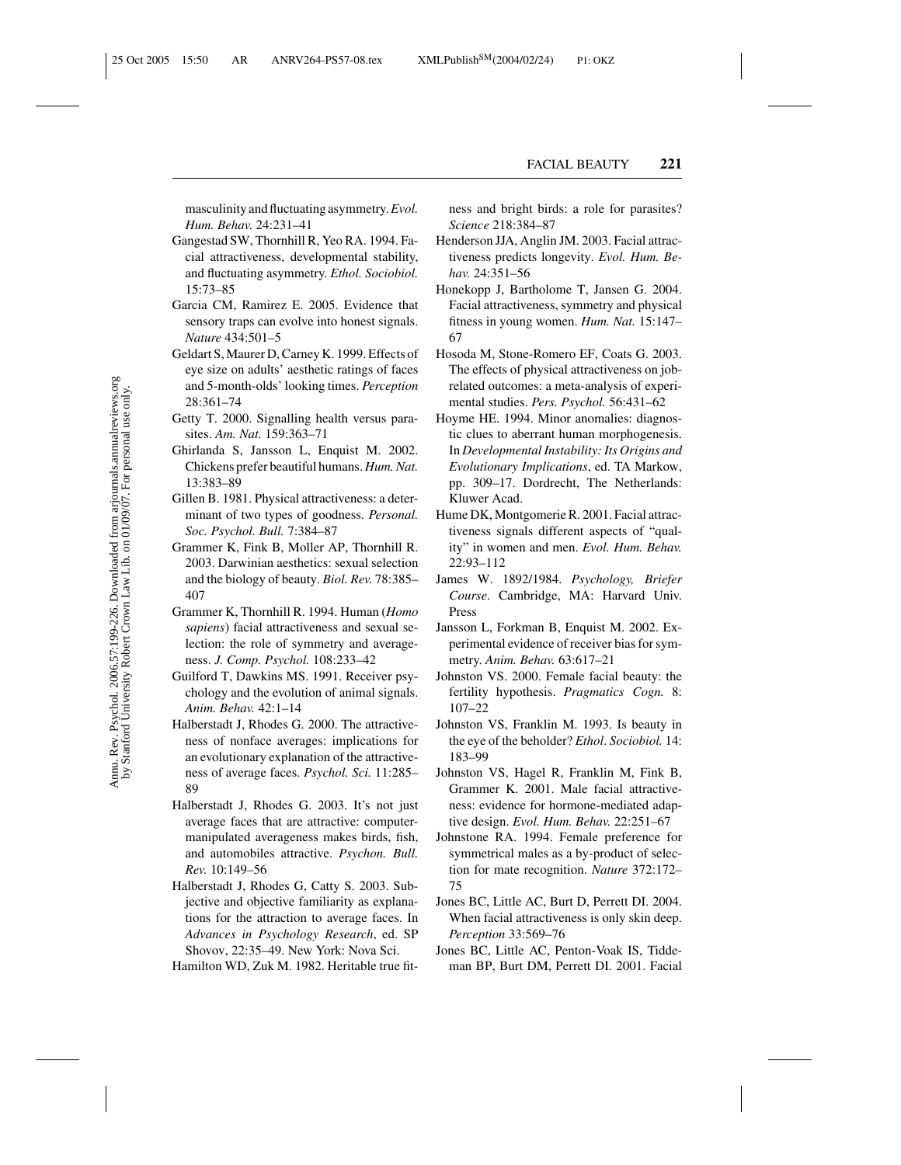masculinity and fluctuating asymmetry.*Evol. Hum. Behav.* 24:231–41

- Gangestad SW, Thornhill R, Yeo RA. 1994. Facial attractiveness, developmental stability, and fluctuating asymmetry. *Ethol. Sociobiol.* 15:73–85
- Garcia CM, Ramirez E. 2005. Evidence that sensory traps can evolve into honest signals. *Nature* 434:501–5
- Geldart S, Maurer D, Carney K. 1999. Effects of eye size on adults' aesthetic ratings of faces and 5-month-olds' looking times. *Perception* 28:361–74
- Getty T. 2000. Signalling health versus parasites. *Am. Nat.* 159:363–71
- Ghirlanda S, Jansson L, Enquist M. 2002. Chickens prefer beautiful humans. *Hum. Nat.* 13:383–89
- Gillen B. 1981. Physical attractiveness: a determinant of two types of goodness. *Personal. Soc. Psychol. Bull.* 7:384–87
- Grammer K, Fink B, Moller AP, Thornhill R. 2003. Darwinian aesthetics: sexual selection and the biology of beauty. *Biol. Rev.* 78:385– 407
- Grammer K, Thornhill R. 1994. Human (*Homo sapiens*) facial attractiveness and sexual selection: the role of symmetry and averageness. *J. Comp. Psychol.* 108:233–42
- Guilford T, Dawkins MS. 1991. Receiver psychology and the evolution of animal signals. *Anim. Behav.* 42:1–14
- Halberstadt J, Rhodes G. 2000. The attractiveness of nonface averages: implications for an evolutionary explanation of the attractiveness of average faces. *Psychol. Sci.* 11:285– 89
- Halberstadt J, Rhodes G. 2003. It's not just average faces that are attractive: computermanipulated averageness makes birds, fish, and automobiles attractive. *Psychon. Bull. Rev.* 10:149–56
- Halberstadt J, Rhodes G, Catty S. 2003. Subjective and objective familiarity as explanations for the attraction to average faces. In *Advances in Psychology Research*, ed. SP Shovov, 22:35–49. New York: Nova Sci.
- Hamilton WD, Zuk M. 1982. Heritable true fit-

ness and bright birds: a role for parasites? *Science* 218:384–87

- Henderson JJA, Anglin JM. 2003. Facial attractiveness predicts longevity. *Evol. Hum. Behav.* 24:351–56
- Honekopp J, Bartholome T, Jansen G. 2004. Facial attractiveness, symmetry and physical fitness in young women. *Hum. Nat.* 15:147– 67
- Hosoda M, Stone-Romero EF, Coats G. 2003. The effects of physical attractiveness on jobrelated outcomes: a meta-analysis of experimental studies. *Pers. Psychol.* 56:431–62
- Hoyme HE. 1994. Minor anomalies: diagnostic clues to aberrant human morphogenesis. In *Developmental Instability: Its Origins and Evolutionary Implications*, ed. TA Markow, pp. 309–17. Dordrecht, The Netherlands: Kluwer Acad.
- Hume DK, Montgomerie R. 2001. Facial attractiveness signals different aspects of "quality" in women and men. *Evol. Hum. Behav.* 22:93–112
- James W. 1892/1984. *Psychology, Briefer Course*. Cambridge, MA: Harvard Univ. Press
- Jansson L, Forkman B, Enquist M. 2002. Experimental evidence of receiver bias for symmetry. *Anim. Behav.* 63:617–21
- Johnston VS. 2000. Female facial beauty: the fertility hypothesis. *Pragmatics Cogn.* 8: 107–22
- Johnston VS, Franklin M. 1993. Is beauty in the eye of the beholder? *Ethol*. *Sociobiol.* 14: 183–99
- Johnston VS, Hagel R, Franklin M, Fink B, Grammer K. 2001. Male facial attractiveness: evidence for hormone-mediated adaptive design. *Evol. Hum. Behav.* 22:251–67
- Johnstone RA. 1994. Female preference for symmetrical males as a by-product of selection for mate recognition. *Nature* 372:172– 75
- Jones BC, Little AC, Burt D, Perrett DI. 2004. When facial attractiveness is only skin deep. *Perception* 33:569–76
- Jones BC, Little AC, Penton-Voak IS, Tiddeman BP, Burt DM, Perrett DI. 2001. Facial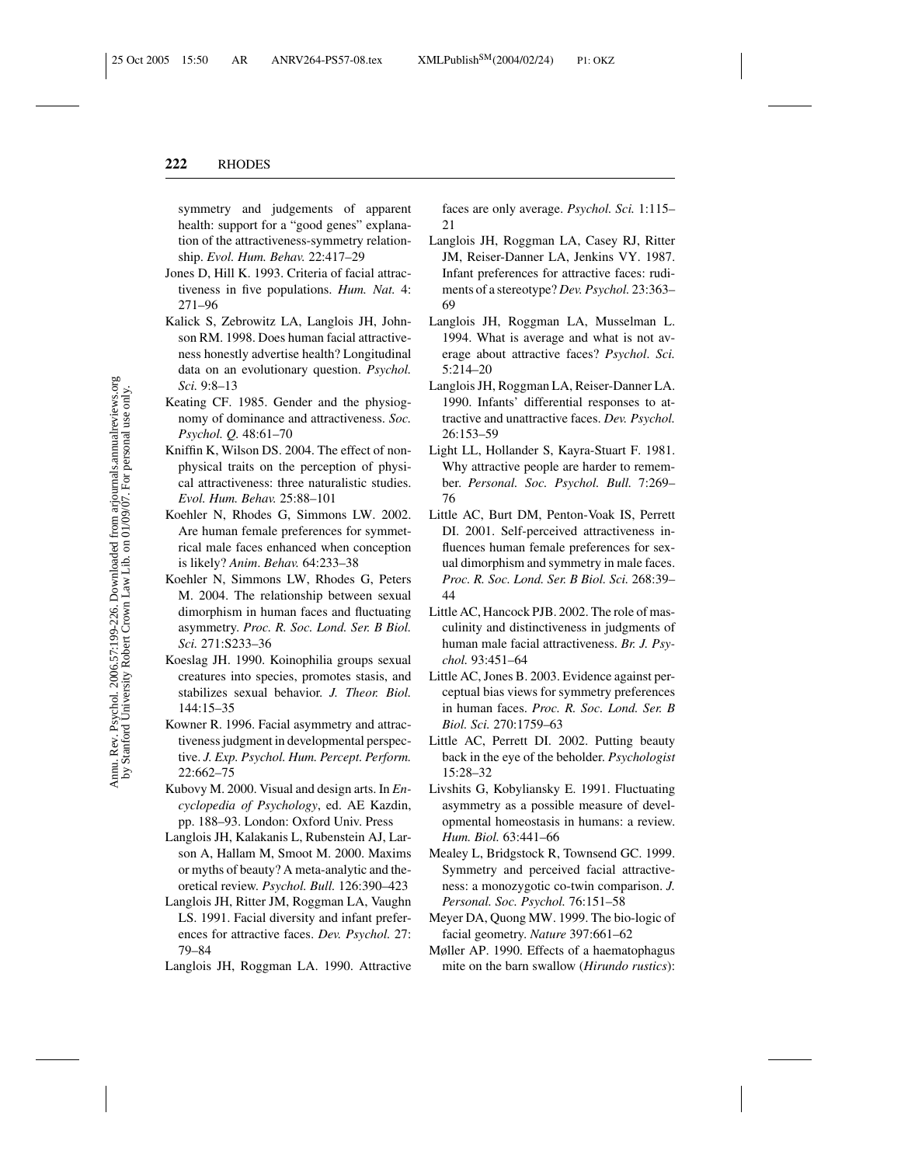symmetry and judgements of apparent health: support for a "good genes" explanation of the attractiveness-symmetry relationship. *Evol. Hum. Behav.* 22:417–29

- Jones D, Hill K. 1993. Criteria of facial attractiveness in five populations. *Hum. Nat.* 4: 271–96
- Kalick S, Zebrowitz LA, Langlois JH, Johnson RM. 1998. Does human facial attractiveness honestly advertise health? Longitudinal data on an evolutionary question. *Psychol. Sci.* 9:8–13
- Keating CF. 1985. Gender and the physiognomy of dominance and attractiveness. *Soc. Psychol. Q.* 48:61–70
- Kniffin K, Wilson DS. 2004. The effect of nonphysical traits on the perception of physical attractiveness: three naturalistic studies. *Evol. Hum. Behav.* 25:88–101
- Koehler N, Rhodes G, Simmons LW. 2002. Are human female preferences for symmetrical male faces enhanced when conception is likely? *Anim*. *Behav.* 64:233–38
- Koehler N, Simmons LW, Rhodes G, Peters M. 2004. The relationship between sexual dimorphism in human faces and fluctuating asymmetry. *Proc. R. Soc. Lond. Ser. B Biol. Sci.* 271:S233–36
- Koeslag JH. 1990. Koinophilia groups sexual creatures into species, promotes stasis, and stabilizes sexual behavior. *J. Theor. Biol.* 144:15–35
- Kowner R. 1996. Facial asymmetry and attractiveness judgment in developmental perspective. *J. Exp. Psychol. Hum. Percept. Perform.* 22:662–75
- Kubovy M. 2000. Visual and design arts. In *Encyclopedia of Psychology*, ed. AE Kazdin, pp. 188–93. London: Oxford Univ. Press
- Langlois JH, Kalakanis L, Rubenstein AJ, Larson A, Hallam M, Smoot M. 2000. Maxims or myths of beauty? A meta-analytic and theoretical review. *Psychol. Bull.* 126:390–423
- Langlois JH, Ritter JM, Roggman LA, Vaughn LS. 1991. Facial diversity and infant preferences for attractive faces. *Dev. Psychol.* 27: 79–84
- Langlois JH, Roggman LA. 1990. Attractive

faces are only average. *Psychol. Sci.* 1:115– 21

- Langlois JH, Roggman LA, Casey RJ, Ritter JM, Reiser-Danner LA, Jenkins VY. 1987. Infant preferences for attractive faces: rudiments of a stereotype? *Dev. Psychol.* 23:363– 69
- Langlois JH, Roggman LA, Musselman L. 1994. What is average and what is not average about attractive faces? *Psychol*. *Sci.* 5:214–20
- Langlois JH, Roggman LA, Reiser-Danner LA. 1990. Infants' differential responses to attractive and unattractive faces. *Dev. Psychol.* 26:153–59
- Light LL, Hollander S, Kayra-Stuart F. 1981. Why attractive people are harder to remember. *Personal. Soc. Psychol. Bull.* 7:269– 76
- Little AC, Burt DM, Penton-Voak IS, Perrett DI. 2001. Self-perceived attractiveness influences human female preferences for sexual dimorphism and symmetry in male faces. *Proc. R. Soc. Lond. Ser. B Biol. Sci.* 268:39– 44
- Little AC, Hancock PJB. 2002. The role of masculinity and distinctiveness in judgments of human male facial attractiveness. *Br. J. Psychol.* 93:451–64
- Little AC, Jones B. 2003. Evidence against perceptual bias views for symmetry preferences in human faces. *Proc. R. Soc. Lond. Ser. B Biol. Sci.* 270:1759–63
- Little AC, Perrett DI. 2002. Putting beauty back in the eye of the beholder. *Psychologist* 15:28–32
- Livshits G, Kobyliansky E. 1991. Fluctuating asymmetry as a possible measure of developmental homeostasis in humans: a review. *Hum. Biol.* 63:441–66
- Mealey L, Bridgstock R, Townsend GC. 1999. Symmetry and perceived facial attractiveness: a monozygotic co-twin comparison. *J. Personal. Soc. Psychol.* 76:151–58
- Meyer DA, Quong MW. 1999. The bio-logic of facial geometry. *Nature* 397:661–62
- Møller AP. 1990. Effects of a haematophagus mite on the barn swallow (*Hirundo rustics*):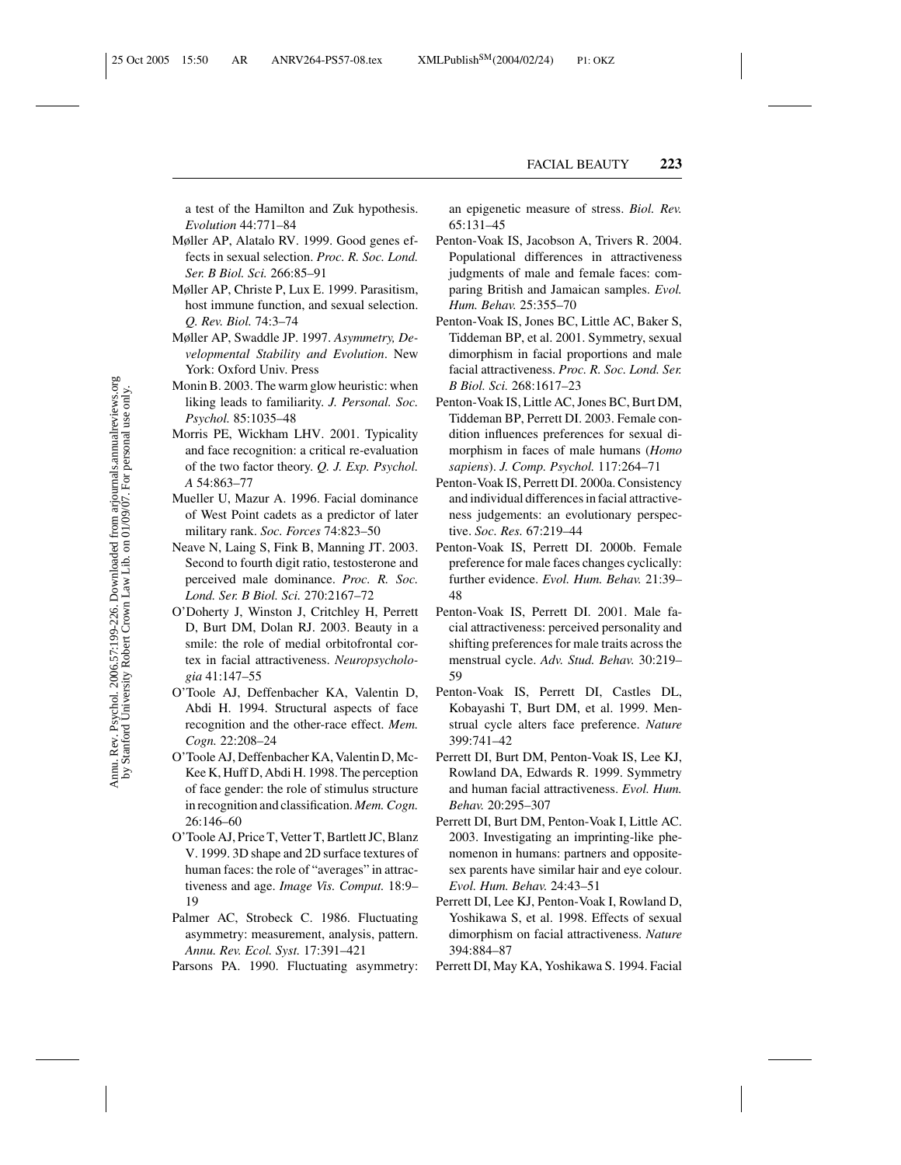a test of the Hamilton and Zuk hypothesis. *Evolution* 44:771–84

- Møller AP, Alatalo RV. 1999. Good genes effects in sexual selection. *Proc. R. Soc. Lond. Ser. B Biol. Sci.* 266:85–91
- Møller AP, Christe P, Lux E. 1999. Parasitism, host immune function, and sexual selection. *Q. Rev. Biol.* 74:3–74
- Møller AP, Swaddle JP. 1997. *Asymmetry, Developmental Stability and Evolution*. New York: Oxford Univ. Press
- Monin B. 2003. The warm glow heuristic: when liking leads to familiarity. *J. Personal. Soc. Psychol.* 85:1035–48
- Morris PE, Wickham LHV. 2001. Typicality and face recognition: a critical re-evaluation of the two factor theory. *Q. J. Exp. Psychol. A* 54:863–77
- Mueller U, Mazur A. 1996. Facial dominance of West Point cadets as a predictor of later military rank. *Soc. Forces* 74:823–50
- Neave N, Laing S, Fink B, Manning JT. 2003. Second to fourth digit ratio, testosterone and perceived male dominance. *Proc. R. Soc. Lond. Ser. B Biol. Sci.* 270:2167–72
- O'Doherty J, Winston J, Critchley H, Perrett D, Burt DM, Dolan RJ. 2003. Beauty in a smile: the role of medial orbitofrontal cortex in facial attractiveness. *Neuropsychologia* 41:147–55
- O'Toole AJ, Deffenbacher KA, Valentin D, Abdi H. 1994. Structural aspects of face recognition and the other-race effect. *Mem. Cogn.* 22:208–24
- O'Toole AJ, Deffenbacher KA, Valentin D, Mc-Kee K, Huff D, Abdi H. 1998. The perception of face gender: the role of stimulus structure in recognition and classification. *Mem. Cogn.* 26:146–60
- O'Toole AJ, Price T, Vetter T, Bartlett JC, Blanz V. 1999. 3D shape and 2D surface textures of human faces: the role of "averages" in attractiveness and age. *Image Vis. Comput.* 18:9– 19
- Palmer AC, Strobeck C. 1986. Fluctuating asymmetry: measurement, analysis, pattern. *Annu. Rev. Ecol. Syst.* 17:391–421
- Parsons PA. 1990. Fluctuating asymmetry:

an epigenetic measure of stress. *Biol. Rev.* 65:131–45

- Penton-Voak IS, Jacobson A, Trivers R. 2004. Populational differences in attractiveness judgments of male and female faces: comparing British and Jamaican samples. *Evol. Hum. Behav.* 25:355–70
- Penton-Voak IS, Jones BC, Little AC, Baker S, Tiddeman BP, et al. 2001. Symmetry, sexual dimorphism in facial proportions and male facial attractiveness. *Proc. R. Soc. Lond. Ser. B Biol. Sci.* 268:1617–23
- Penton-Voak IS, Little AC, Jones BC, Burt DM, Tiddeman BP, Perrett DI. 2003. Female condition influences preferences for sexual dimorphism in faces of male humans (*Homo sapiens*). *J. Comp. Psychol.* 117:264–71
- Penton-Voak IS, Perrett DI. 2000a. Consistency and individual differences in facial attractiveness judgements: an evolutionary perspective. *Soc. Res.* 67:219–44
- Penton-Voak IS, Perrett DI. 2000b. Female preference for male faces changes cyclically: further evidence. *Evol. Hum. Behav.* 21:39– 48
- Penton-Voak IS, Perrett DI. 2001. Male facial attractiveness: perceived personality and shifting preferences for male traits across the menstrual cycle. *Adv. Stud. Behav.* 30:219– 59
- Penton-Voak IS, Perrett DI, Castles DL, Kobayashi T, Burt DM, et al. 1999. Menstrual cycle alters face preference. *Nature* 399:741–42
- Perrett DI, Burt DM, Penton-Voak IS, Lee KJ, Rowland DA, Edwards R. 1999. Symmetry and human facial attractiveness. *Evol. Hum. Behav.* 20:295–307
- Perrett DI, Burt DM, Penton-Voak I, Little AC. 2003. Investigating an imprinting-like phenomenon in humans: partners and oppositesex parents have similar hair and eye colour. *Evol. Hum. Behav.* 24:43–51
- Perrett DI, Lee KJ, Penton-Voak I, Rowland D, Yoshikawa S, et al. 1998. Effects of sexual dimorphism on facial attractiveness. *Nature* 394:884–87
- Perrett DI, May KA, Yoshikawa S. 1994. Facial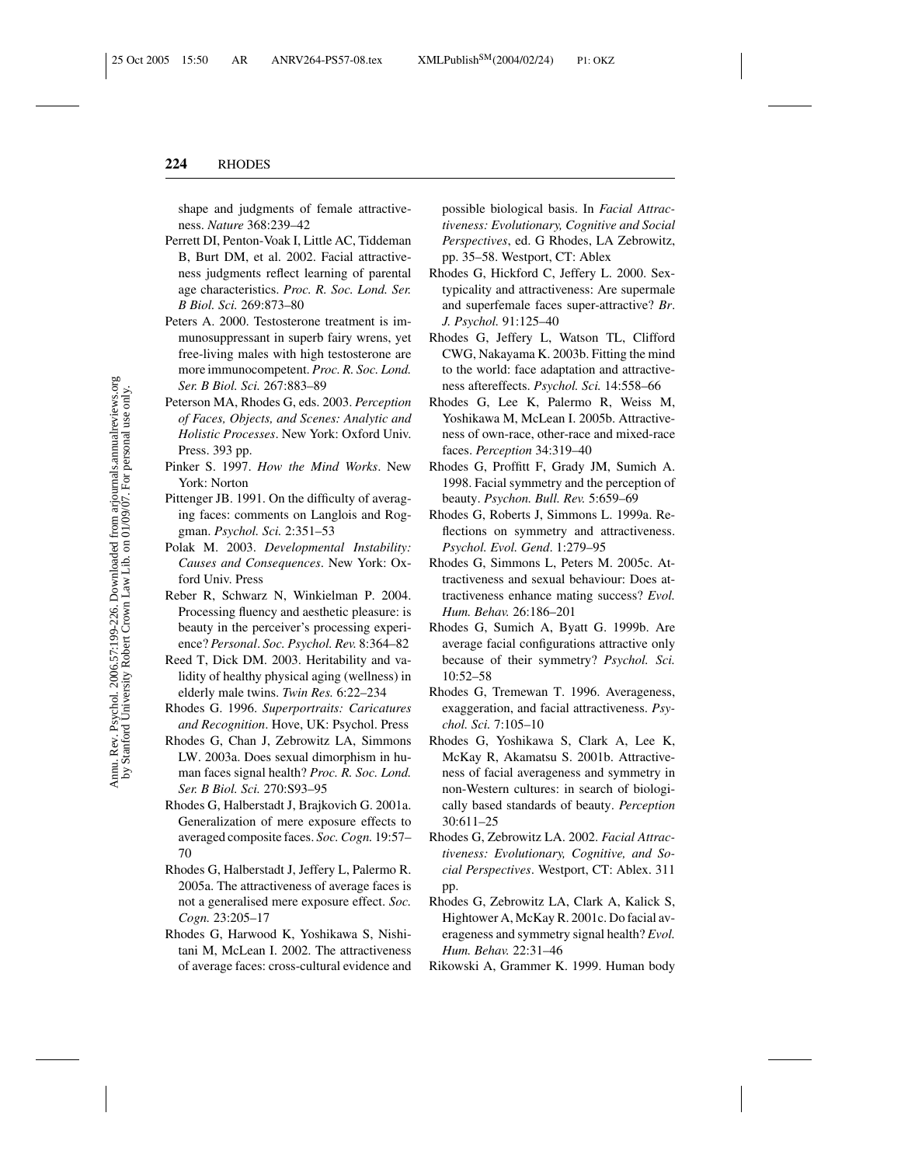shape and judgments of female attractiveness. *Nature* 368:239–42

- Perrett DI, Penton-Voak I, Little AC, Tiddeman B, Burt DM, et al. 2002. Facial attractiveness judgments reflect learning of parental age characteristics. *Proc. R. Soc. Lond. Ser. B Biol. Sci.* 269:873–80
- Peters A. 2000. Testosterone treatment is immunosuppressant in superb fairy wrens, yet free-living males with high testosterone are more immunocompetent. *Proc. R. Soc. Lond. Ser. B Biol. Sci.* 267:883–89
- Peterson MA, Rhodes G, eds. 2003. *Perception of Faces, Objects, and Scenes: Analytic and Holistic Processes*. New York: Oxford Univ. Press. 393 pp.
- Pinker S. 1997. *How the Mind Works*. New York: Norton
- Pittenger JB. 1991. On the difficulty of averaging faces: comments on Langlois and Roggman. *Psychol. Sci.* 2:351–53
- Polak M. 2003. *Developmental Instability: Causes and Consequences*. New York: Oxford Univ. Press
- Reber R, Schwarz N, Winkielman P. 2004. Processing fluency and aesthetic pleasure: is beauty in the perceiver's processing experience? *Personal*. *Soc. Psychol. Rev.* 8:364–82
- Reed T, Dick DM. 2003. Heritability and validity of healthy physical aging (wellness) in elderly male twins. *Twin Res.* 6:22–234
- Rhodes G. 1996. *Superportraits: Caricatures and Recognition*. Hove, UK: Psychol. Press
- Rhodes G, Chan J, Zebrowitz LA, Simmons LW. 2003a. Does sexual dimorphism in human faces signal health? *Proc. R. Soc. Lond. Ser. B Biol. Sci.* 270:S93–95
- Rhodes G, Halberstadt J, Brajkovich G. 2001a. Generalization of mere exposure effects to averaged composite faces. *Soc. Cogn.* 19:57– 70
- Rhodes G, Halberstadt J, Jeffery L, Palermo R. 2005a. The attractiveness of average faces is not a generalised mere exposure effect. *Soc. Cogn.* 23:205–17
- Rhodes G, Harwood K, Yoshikawa S, Nishitani M, McLean I. 2002. The attractiveness of average faces: cross-cultural evidence and

possible biological basis. In *Facial Attractiveness: Evolutionary, Cognitive and Social Perspectives*, ed. G Rhodes, LA Zebrowitz, pp. 35–58. Westport, CT: Ablex

- Rhodes G, Hickford C, Jeffery L. 2000. Sextypicality and attractiveness: Are supermale and superfemale faces super-attractive? *Br*. *J. Psychol.* 91:125–40
- Rhodes G, Jeffery L, Watson TL, Clifford CWG, Nakayama K. 2003b. Fitting the mind to the world: face adaptation and attractiveness aftereffects. *Psychol. Sci.* 14:558–66
- Rhodes G, Lee K, Palermo R, Weiss M, Yoshikawa M, McLean I. 2005b. Attractiveness of own-race, other-race and mixed-race faces. *Perception* 34:319–40
- Rhodes G, Proffitt F, Grady JM, Sumich A. 1998. Facial symmetry and the perception of beauty. *Psychon. Bull. Rev.* 5:659–69
- Rhodes G, Roberts J, Simmons L. 1999a. Reflections on symmetry and attractiveness. *Psychol. Evol. Gend*. 1:279–95
- Rhodes G, Simmons L, Peters M. 2005c. Attractiveness and sexual behaviour: Does attractiveness enhance mating success? *Evol. Hum. Behav.* 26:186–201
- Rhodes G, Sumich A, Byatt G. 1999b. Are average facial configurations attractive only because of their symmetry? *Psychol. Sci.* 10:52–58
- Rhodes G, Tremewan T. 1996. Averageness, exaggeration, and facial attractiveness. *Psychol. Sci.* 7:105–10
- Rhodes G, Yoshikawa S, Clark A, Lee K, McKay R, Akamatsu S. 2001b. Attractiveness of facial averageness and symmetry in non-Western cultures: in search of biologically based standards of beauty. *Perception* 30:611–25
- Rhodes G, Zebrowitz LA. 2002. *Facial Attractiveness: Evolutionary, Cognitive, and Social Perspectives*. Westport, CT: Ablex. 311 pp.
- Rhodes G, Zebrowitz LA, Clark A, Kalick S, Hightower A, McKay R. 2001c. Do facial averageness and symmetry signal health? *Evol. Hum. Behav.* 22:31–46
- Rikowski A, Grammer K. 1999. Human body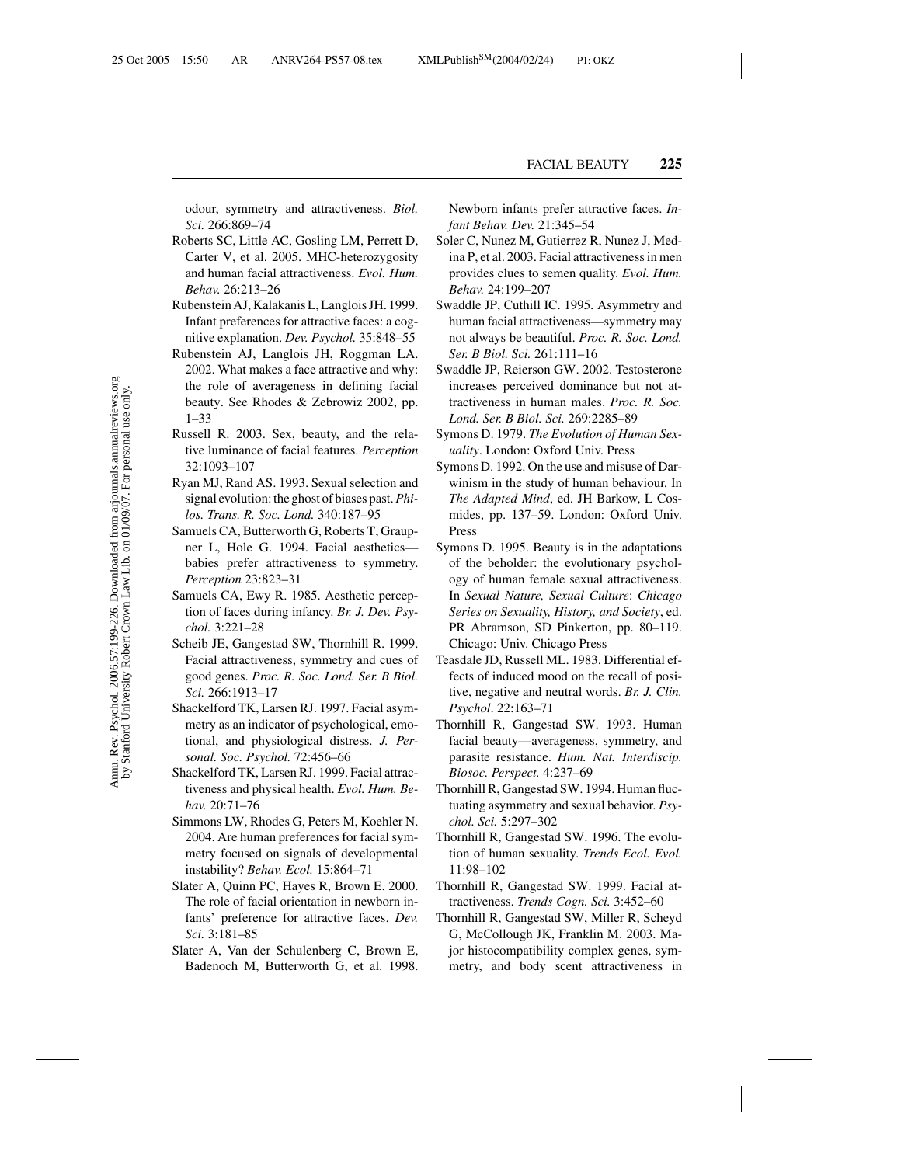odour, symmetry and attractiveness. *Biol. Sci.* 266:869–74

- Roberts SC, Little AC, Gosling LM, Perrett D, Carter V, et al. 2005. MHC-heterozygosity and human facial attractiveness. *Evol. Hum. Behav.* 26:213–26
- Rubenstein AJ, Kalakanis L, Langlois JH. 1999. Infant preferences for attractive faces: a cognitive explanation. *Dev. Psychol.* 35:848–55
- Rubenstein AJ, Langlois JH, Roggman LA. 2002. What makes a face attractive and why: the role of averageness in defining facial beauty. See Rhodes & Zebrowiz 2002, pp. 1–33
- Russell R. 2003. Sex, beauty, and the relative luminance of facial features. *Perception* 32:1093–107
- Ryan MJ, Rand AS. 1993. Sexual selection and signal evolution: the ghost of biases past.*Philos. Trans. R. Soc. Lond.* 340:187–95
- Samuels CA, Butterworth G, Roberts T, Graupner L, Hole G. 1994. Facial aesthetics babies prefer attractiveness to symmetry. *Perception* 23:823–31
- Samuels CA, Ewy R. 1985. Aesthetic perception of faces during infancy. *Br. J. Dev. Psychol.* 3:221–28
- Scheib JE, Gangestad SW, Thornhill R. 1999. Facial attractiveness, symmetry and cues of good genes. *Proc. R. Soc. Lond. Ser. B Biol. Sci.* 266:1913–17
- Shackelford TK, Larsen RJ. 1997. Facial asymmetry as an indicator of psychological, emotional, and physiological distress. *J. Personal. Soc. Psychol.* 72:456–66
- Shackelford TK, Larsen RJ. 1999. Facial attractiveness and physical health. *Evol. Hum. Behav.* 20:71–76
- Simmons LW, Rhodes G, Peters M, Koehler N. 2004. Are human preferences for facial symmetry focused on signals of developmental instability? *Behav. Ecol.* 15:864–71
- Slater A, Quinn PC, Hayes R, Brown E. 2000. The role of facial orientation in newborn infants' preference for attractive faces. *Dev. Sci.* 3:181–85
- Slater A, Van der Schulenberg C, Brown E, Badenoch M, Butterworth G, et al. 1998.

Newborn infants prefer attractive faces. *Infant Behav. Dev.* 21:345–54

- Soler C, Nunez M, Gutierrez R, Nunez J, Medina P, et al. 2003. Facial attractiveness in men provides clues to semen quality. *Evol. Hum. Behav.* 24:199–207
- Swaddle JP, Cuthill IC. 1995. Asymmetry and human facial attractiveness—symmetry may not always be beautiful. *Proc. R. Soc. Lond. Ser. B Biol. Sci.* 261:111–16
- Swaddle JP, Reierson GW. 2002. Testosterone increases perceived dominance but not attractiveness in human males. *Proc. R. Soc. Lond. Ser. B Biol. Sci.* 269:2285–89
- Symons D. 1979. *The Evolution of Human Sexuality*. London: Oxford Univ. Press
- Symons D. 1992. On the use and misuse of Darwinism in the study of human behaviour. In *The Adapted Mind*, ed. JH Barkow, L Cosmides, pp. 137–59. London: Oxford Univ. Press
- Symons D. 1995. Beauty is in the adaptations of the beholder: the evolutionary psychology of human female sexual attractiveness. In *Sexual Nature, Sexual Culture*: *Chicago Series on Sexuality, History, and Society*, ed. PR Abramson, SD Pinkerton, pp. 80–119. Chicago: Univ. Chicago Press
- Teasdale JD, Russell ML. 1983. Differential effects of induced mood on the recall of positive, negative and neutral words. *Br. J. Clin. Psychol*. 22:163–71
- Thornhill R, Gangestad SW. 1993. Human facial beauty—averageness, symmetry, and parasite resistance. *Hum. Nat. Interdiscip. Biosoc. Perspect.* 4:237–69
- Thornhill R, Gangestad SW. 1994. Human fluctuating asymmetry and sexual behavior. *Psychol. Sci.* 5:297–302
- Thornhill R, Gangestad SW. 1996. The evolution of human sexuality. *Trends Ecol. Evol.* 11:98–102
- Thornhill R, Gangestad SW. 1999. Facial attractiveness. *Trends Cogn. Sci.* 3:452–60
- Thornhill R, Gangestad SW, Miller R, Scheyd G, McCollough JK, Franklin M. 2003. Major histocompatibility complex genes, symmetry, and body scent attractiveness in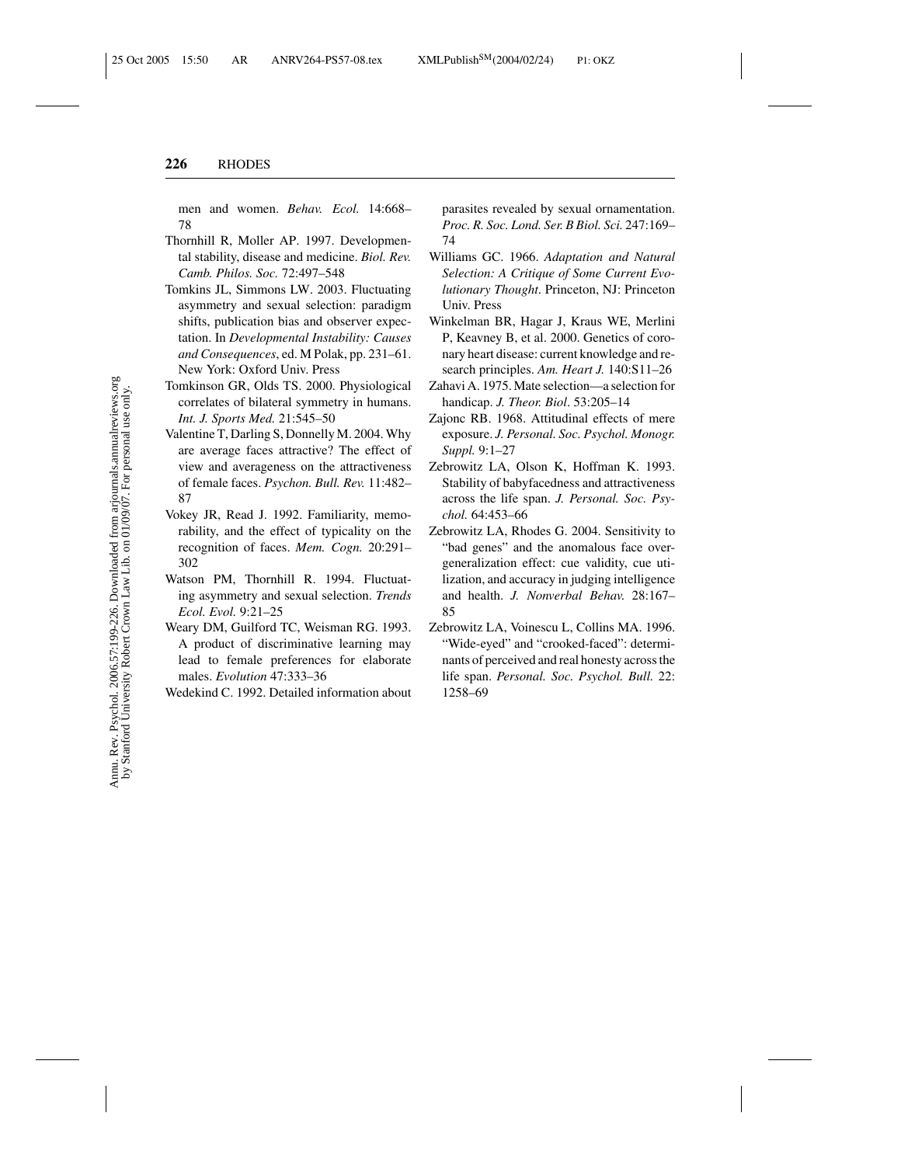men and women. *Behav. Ecol.* 14:668– 78

- Thornhill R, Moller AP. 1997. Developmental stability, disease and medicine. *Biol. Rev. Camb. Philos. Soc.* 72:497–548
- Tomkins JL, Simmons LW. 2003. Fluctuating asymmetry and sexual selection: paradigm shifts, publication bias and observer expectation. In *Developmental Instability: Causes and Consequences*, ed. M Polak, pp. 231–61. New York: Oxford Univ. Press
- Tomkinson GR, Olds TS. 2000. Physiological correlates of bilateral symmetry in humans. *Int. J. Sports Med.* 21:545–50
- Valentine T, Darling S, Donnelly M. 2004. Why are average faces attractive? The effect of view and averageness on the attractiveness of female faces. *Psychon. Bull. Rev.* 11:482– 87
- Vokey JR, Read J. 1992. Familiarity, memorability, and the effect of typicality on the recognition of faces. *Mem. Cogn.* 20:291– 302
- Watson PM, Thornhill R. 1994. Fluctuating asymmetry and sexual selection. *Trends Ecol. Evol.* 9:21–25
- Weary DM, Guilford TC, Weisman RG. 1993. A product of discriminative learning may lead to female preferences for elaborate males. *Evolution* 47:333–36

Wedekind C. 1992. Detailed information about

parasites revealed by sexual ornamentation. *Proc. R. Soc. Lond. Ser. B Biol. Sci.* 247:169– 74

- Williams GC. 1966. *Adaptation and Natural Selection: A Critique of Some Current Evolutionary Thought*. Princeton, NJ: Princeton Univ. Press
- Winkelman BR, Hagar J, Kraus WE, Merlini P, Keavney B, et al. 2000. Genetics of coronary heart disease: current knowledge and research principles. *Am. Heart J.* 140:S11–26
- Zahavi A. 1975. Mate selection—a selection for handicap. *J. Theor. Biol*. 53:205–14
- Zajonc RB. 1968. Attitudinal effects of mere exposure. *J. Personal. Soc. Psychol. Monogr. Suppl.* 9:1–27
- Zebrowitz LA, Olson K, Hoffman K. 1993. Stability of babyfacedness and attractiveness across the life span. *J. Personal. Soc. Psychol.* 64:453–66
- Zebrowitz LA, Rhodes G. 2004. Sensitivity to "bad genes" and the anomalous face overgeneralization effect: cue validity, cue utilization, and accuracy in judging intelligence and health. *J. Nonverbal Behav.* 28:167– 85
- Zebrowitz LA, Voinescu L, Collins MA. 1996. "Wide-eyed" and "crooked-faced": determinants of perceived and real honesty across the life span. *Personal. Soc. Psychol. Bull.* 22: 1258–69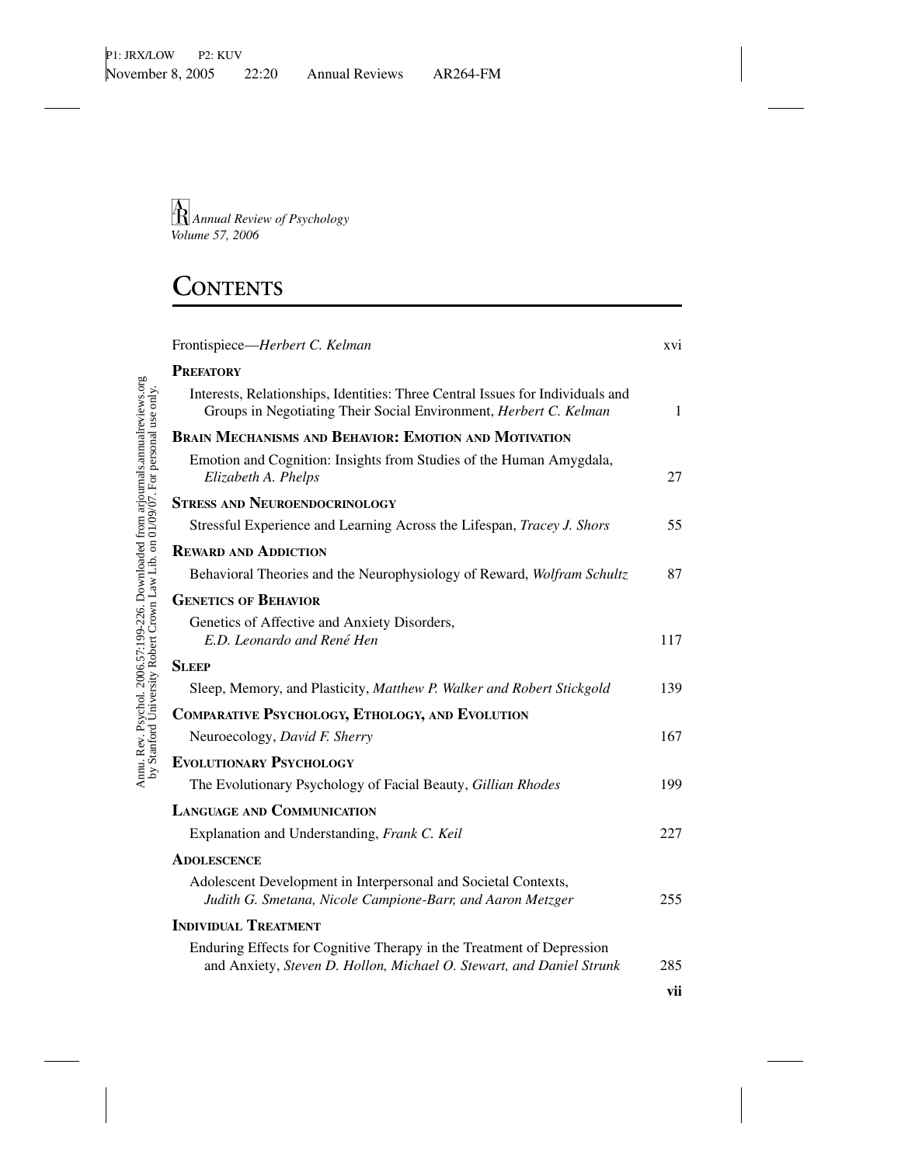# **CONTENTS**

| Frontispiece-Herbert C. Kelman                                                                                                                      | XV <sub>i</sub> |
|-----------------------------------------------------------------------------------------------------------------------------------------------------|-----------------|
| <b>PREFATORY</b>                                                                                                                                    |                 |
| Interests, Relationships, Identities: Three Central Issues for Individuals and<br>Groups in Negotiating Their Social Environment, Herbert C. Kelman | 1               |
| <b>BRAIN MECHANISMS AND BEHAVIOR: EMOTION AND MOTIVATION</b>                                                                                        |                 |
| Emotion and Cognition: Insights from Studies of the Human Amygdala,<br>Elizabeth A. Phelps                                                          | 27              |
| <b>STRESS AND NEUROENDOCRINOLOGY</b>                                                                                                                |                 |
| Stressful Experience and Learning Across the Lifespan, Tracey J. Shors                                                                              | 55              |
| <b>REWARD AND ADDICTION</b>                                                                                                                         |                 |
| Behavioral Theories and the Neurophysiology of Reward, Wolfram Schultz                                                                              | 87              |
| <b>GENETICS OF BEHAVIOR</b>                                                                                                                         |                 |
| Genetics of Affective and Anxiety Disorders,<br>E.D. Leonardo and René Hen                                                                          | 117             |
| <b>SLEEP</b>                                                                                                                                        |                 |
| Sleep, Memory, and Plasticity, Matthew P. Walker and Robert Stickgold                                                                               | 139             |
| COMPARATIVE PSYCHOLOGY, ETHOLOGY, AND EVOLUTION                                                                                                     |                 |
| Neuroecology, David F. Sherry                                                                                                                       | 167             |
| <b>EVOLUTIONARY PSYCHOLOGY</b>                                                                                                                      |                 |
| The Evolutionary Psychology of Facial Beauty, Gillian Rhodes                                                                                        | 199             |
| <b>LANGUAGE AND COMMUNICATION</b>                                                                                                                   |                 |
| Explanation and Understanding, Frank C. Keil                                                                                                        | 227             |
| <b>ADOLESCENCE</b>                                                                                                                                  |                 |
| Adolescent Development in Interpersonal and Societal Contexts,<br>Judith G. Smetana, Nicole Campione-Barr, and Aaron Metzger                        | 255             |
| <b>INDIVIDUAL TREATMENT</b>                                                                                                                         |                 |
| Enduring Effects for Cognitive Therapy in the Treatment of Depression<br>and Anxiety, Steven D. Hollon, Michael O. Stewart, and Daniel Strunk       | 285             |
|                                                                                                                                                     | vii             |